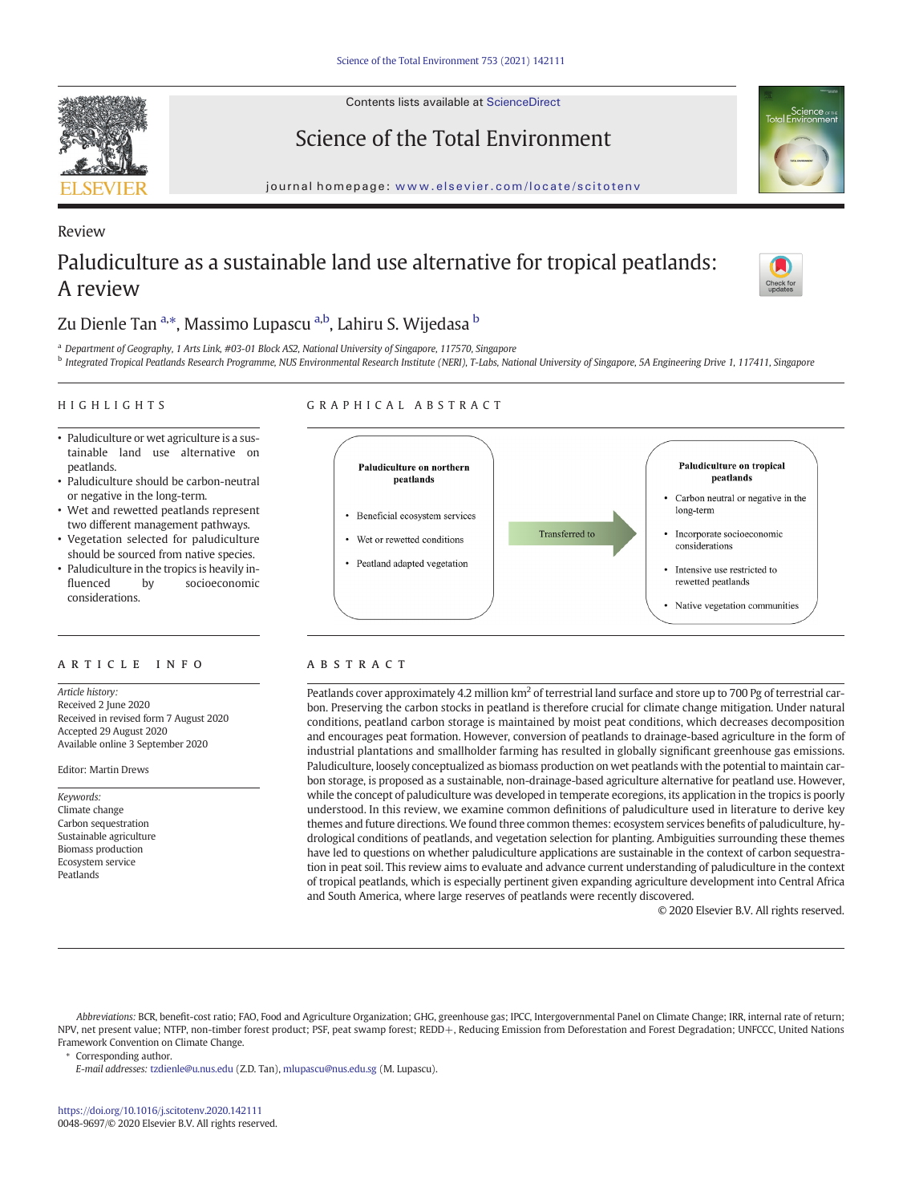Contents lists available at ScienceDirect



Science of the Total Environment



# Review Paludiculture as a sustainable land use alternative for tropical peatlands: A review



# Zu Dienle Tan <sup>a,</sup>\*, Massimo Lupascu <sup>a,b</sup>, Lahiru S. Wijedasa <sup>b</sup>

<sup>a</sup> Department of Geography, 1 Arts Link, #03-01 Block AS2, National University of Singapore, 117570, Singapore

**b** Integrated Tropical Peatlands Research Programme, NUS Environmental Research Institute (NERI), T-Labs, National University of Singapore, 5A Engineering Drive 1, 117411, Singapore

# HIGHLIGHTS

# GRAPHICAL ABSTRACT

- Paludiculture or wet agriculture is a sustainable land use alternative on peatlands.
- Paludiculture should be carbon-neutral or negative in the long-term.
- Wet and rewetted peatlands represent two different management pathways.
- Vegetation selected for paludiculture should be sourced from native species.
- Paludiculture in the tropics is heavily influenced by socioeconomic considerations.

# article info abstract

Article history: Received 2 June 2020 Received in revised form 7 August 2020 Accepted 29 August 2020 Available online 3 September 2020

Editor: Martin Drews

Keywords: Climate change Carbon sequestration Sustainable agriculture Biomass production Ecosystem service Peatlands



Peatlands cover approximately 4.2 million  $km^2$  of terrestrial land surface and store up to 700 Pg of terrestrial carbon. Preserving the carbon stocks in peatland is therefore crucial for climate change mitigation. Under natural conditions, peatland carbon storage is maintained by moist peat conditions, which decreases decomposition and encourages peat formation. However, conversion of peatlands to drainage-based agriculture in the form of industrial plantations and smallholder farming has resulted in globally significant greenhouse gas emissions. Paludiculture, loosely conceptualized as biomass production on wet peatlands with the potential to maintain carbon storage, is proposed as a sustainable, non-drainage-based agriculture alternative for peatland use. However, while the concept of paludiculture was developed in temperate ecoregions, its application in the tropics is poorly understood. In this review, we examine common definitions of paludiculture used in literature to derive key themes and future directions. We found three common themes: ecosystem services benefits of paludiculture, hydrological conditions of peatlands, and vegetation selection for planting. Ambiguities surrounding these themes have led to questions on whether paludiculture applications are sustainable in the context of carbon sequestration in peat soil. This review aims to evaluate and advance current understanding of paludiculture in the context of tropical peatlands, which is especially pertinent given expanding agriculture development into Central Africa and South America, where large reserves of peatlands were recently discovered.

© 2020 Elsevier B.V. All rights reserved.

Abbreviations: BCR, benefit-cost ratio; FAO, Food and Agriculture Organization; GHG, greenhouse gas; IPCC, Intergovernmental Panel on Climate Change; IRR, internal rate of return; NPV, net present value; NTFP, non-timber forest product; PSF, peat swamp forest; REDD+, Reducing Emission from Deforestation and Forest Degradation; UNFCCC, United Nations Framework Convention on Climate Change.

Corresponding author.

E-mail addresses: [tzdienle@u.nus.edu](mailto:tzdienle@u.nus.edu) (Z.D. Tan), [mlupascu@nus.edu.sg](mailto:mlupascu@nus.edu.sg) (M. Lupascu).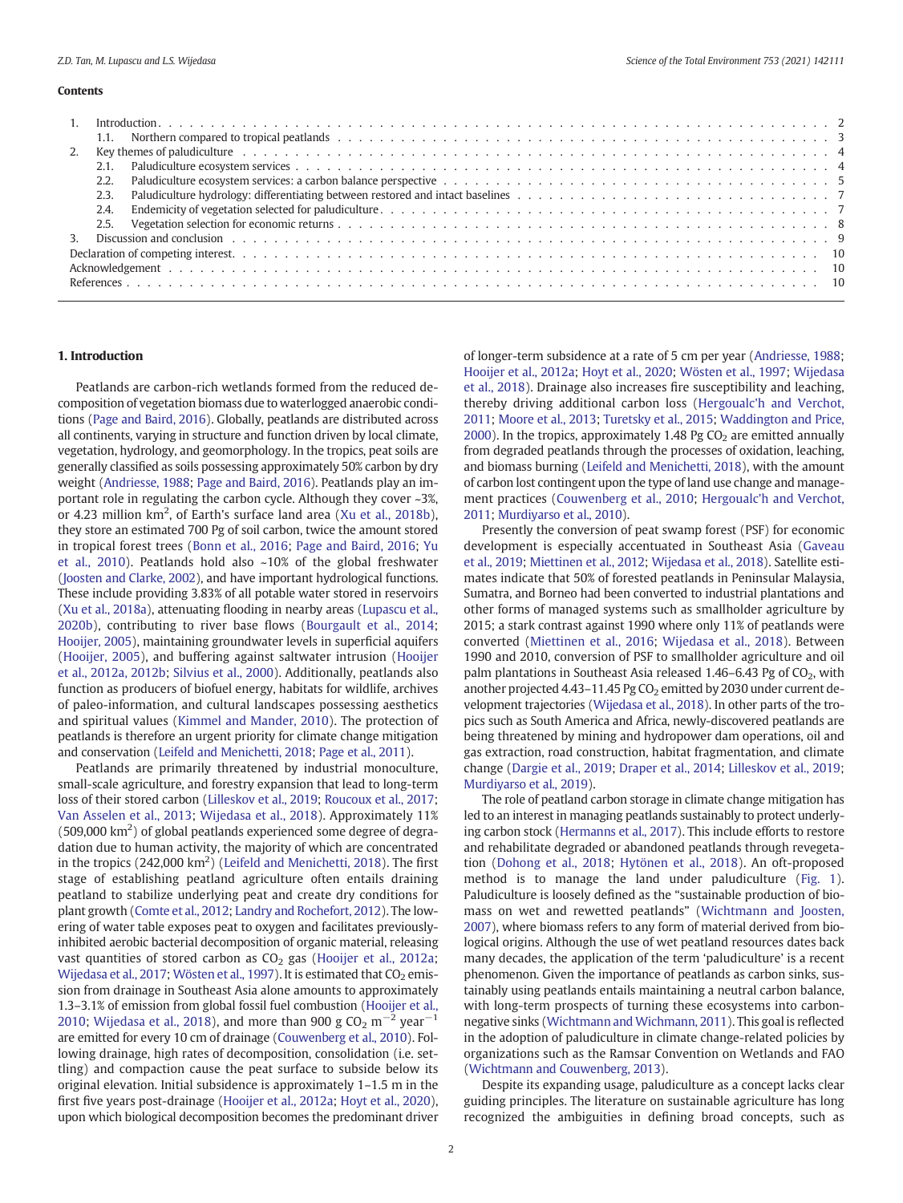## **Contents**

|  | 2.2. |  |  |  |  |  |
|--|------|--|--|--|--|--|
|  | 2.3. |  |  |  |  |  |
|  | 2.4. |  |  |  |  |  |
|  |      |  |  |  |  |  |
|  |      |  |  |  |  |  |
|  |      |  |  |  |  |  |
|  |      |  |  |  |  |  |
|  |      |  |  |  |  |  |
|  |      |  |  |  |  |  |

# 1. Introduction

Peatlands are carbon-rich wetlands formed from the reduced decomposition of vegetation biomass due to waterlogged anaerobic conditions [\(Page and Baird, 2016\)](#page-12-0). Globally, peatlands are distributed across all continents, varying in structure and function driven by local climate, vegetation, hydrology, and geomorphology. In the tropics, peat soils are generally classified as soils possessing approximately 50% carbon by dry weight ([Andriesse, 1988](#page-9-0); [Page and Baird, 2016\)](#page-12-0). Peatlands play an important role in regulating the carbon cycle. Although they cover ~3%, or 4.23 million km<sup>2</sup>, of Earth's surface land area ([Xu et al., 2018b\)](#page-13-0), they store an estimated 700 Pg of soil carbon, twice the amount stored in tropical forest trees [\(Bonn et al., 2016;](#page-9-0) [Page and Baird, 2016](#page-12-0); [Yu](#page-13-0) [et al., 2010\)](#page-13-0). Peatlands hold also ~10% of the global freshwater ([Joosten and Clarke, 2002\)](#page-11-0), and have important hydrological functions. These include providing 3.83% of all potable water stored in reservoirs ([Xu et al., 2018a\)](#page-13-0), attenuating flooding in nearby areas [\(Lupascu et al.,](#page-11-0) [2020b](#page-11-0)), contributing to river base flows [\(Bourgault et al., 2014](#page-9-0); [Hooijer, 2005\)](#page-10-0), maintaining groundwater levels in superficial aquifers ([Hooijer, 2005\)](#page-10-0), and buffering against saltwater intrusion ([Hooijer](#page-10-0) [et al., 2012a, 2012b](#page-10-0); [Silvius et al., 2000\)](#page-12-0). Additionally, peatlands also function as producers of biofuel energy, habitats for wildlife, archives of paleo-information, and cultural landscapes possessing aesthetics and spiritual values [\(Kimmel and Mander, 2010\)](#page-11-0). The protection of peatlands is therefore an urgent priority for climate change mitigation and conservation ([Leifeld and Menichetti, 2018;](#page-11-0) [Page et al., 2011\)](#page-12-0).

Peatlands are primarily threatened by industrial monoculture, small-scale agriculture, and forestry expansion that lead to long-term loss of their stored carbon [\(Lilleskov et al., 2019](#page-11-0); [Roucoux et al., 2017](#page-12-0); [Van Asselen et al., 2013;](#page-12-0) [Wijedasa et al., 2018\)](#page-13-0). Approximately 11% (509,000 km<sup>2</sup>) of global peatlands experienced some degree of degradation due to human activity, the majority of which are concentrated in the tropics (242,000 km<sup>2</sup>) ([Leifeld and Menichetti, 2018\)](#page-11-0). The first stage of establishing peatland agriculture often entails draining peatland to stabilize underlying peat and create dry conditions for plant growth [\(Comte et al., 2012;](#page-10-0) [Landry and Rochefort, 2012](#page-11-0)). The lowering of water table exposes peat to oxygen and facilitates previouslyinhibited aerobic bacterial decomposition of organic material, releasing vast quantities of stored carbon as  $CO<sub>2</sub>$  gas [\(Hooijer et al., 2012a](#page-10-0); [Wijedasa et al., 2017;](#page-13-0) [Wösten et al., 1997\)](#page-13-0). It is estimated that  $CO<sub>2</sub>$  emission from drainage in Southeast Asia alone amounts to approximately 1.3–3.1% of emission from global fossil fuel combustion ([Hooijer et al.,](#page-10-0) [2010;](#page-10-0) [Wijedasa et al., 2018](#page-13-0)), and more than 900 g  $CO_2$  m<sup>-2</sup> year<sup>-1</sup> are emitted for every 10 cm of drainage [\(Couwenberg et al., 2010](#page-10-0)). Following drainage, high rates of decomposition, consolidation (i.e. settling) and compaction cause the peat surface to subside below its original elevation. Initial subsidence is approximately 1–1.5 m in the first five years post-drainage [\(Hooijer et al., 2012a;](#page-10-0) [Hoyt et al., 2020\)](#page-10-0), upon which biological decomposition becomes the predominant driver of longer-term subsidence at a rate of 5 cm per year ([Andriesse, 1988](#page-9-0); [Hooijer et al., 2012a](#page-10-0); [Hoyt et al., 2020;](#page-10-0) [Wösten et al., 1997;](#page-13-0) [Wijedasa](#page-13-0) [et al., 2018\)](#page-13-0). Drainage also increases fire susceptibility and leaching, thereby driving additional carbon loss ([Hergoualc'h and Verchot,](#page-10-0) [2011](#page-10-0); [Moore et al., 2013](#page-11-0); [Turetsky et al., 2015](#page-12-0); [Waddington and Price,](#page-12-0) [2000](#page-12-0)). In the tropics, approximately 1.48 Pg  $CO<sub>2</sub>$  are emitted annually from degraded peatlands through the processes of oxidation, leaching, and biomass burning [\(Leifeld and Menichetti, 2018](#page-11-0)), with the amount of carbon lost contingent upon the type of land use change and management practices [\(Couwenberg et al., 2010;](#page-10-0) [Hergoualc'h and Verchot,](#page-10-0) [2011;](#page-10-0) [Murdiyarso et al., 2010](#page-11-0)).

Presently the conversion of peat swamp forest (PSF) for economic development is especially accentuated in Southeast Asia ([Gaveau](#page-10-0) [et al., 2019;](#page-10-0) [Miettinen et al., 2012](#page-11-0); [Wijedasa et al., 2018\)](#page-13-0). Satellite estimates indicate that 50% of forested peatlands in Peninsular Malaysia, Sumatra, and Borneo had been converted to industrial plantations and other forms of managed systems such as smallholder agriculture by 2015; a stark contrast against 1990 where only 11% of peatlands were converted ([Miettinen et al., 2016](#page-11-0); [Wijedasa et al., 2018\)](#page-13-0). Between 1990 and 2010, conversion of PSF to smallholder agriculture and oil palm plantations in Southeast Asia released  $1.46-6.43$  Pg of CO<sub>2</sub>, with another projected 4.43-11.45 Pg  $CO<sub>2</sub>$  emitted by 2030 under current development trajectories [\(Wijedasa et al., 2018](#page-13-0)). In other parts of the tropics such as South America and Africa, newly-discovered peatlands are being threatened by mining and hydropower dam operations, oil and gas extraction, road construction, habitat fragmentation, and climate change ([Dargie et al., 2019;](#page-10-0) [Draper et al., 2014;](#page-10-0) [Lilleskov et al., 2019](#page-11-0); [Murdiyarso et al., 2019\)](#page-11-0).

The role of peatland carbon storage in climate change mitigation has led to an interest in managing peatlands sustainably to protect underlying carbon stock [\(Hermanns et al., 2017\)](#page-10-0). This include efforts to restore and rehabilitate degraded or abandoned peatlands through revegetation ([Dohong et al., 2018;](#page-10-0) [Hytönen et al., 2018\)](#page-11-0). An oft-proposed method is to manage the land under paludiculture [\(Fig. 1\)](#page-2-0). Paludiculture is loosely defined as the "sustainable production of biomass on wet and rewetted peatlands" ([Wichtmann and Joosten,](#page-13-0) [2007\)](#page-13-0), where biomass refers to any form of material derived from biological origins. Although the use of wet peatland resources dates back many decades, the application of the term 'paludiculture' is a recent phenomenon. Given the importance of peatlands as carbon sinks, sustainably using peatlands entails maintaining a neutral carbon balance, with long-term prospects of turning these ecosystems into carbonnegative sinks ([Wichtmann and Wichmann, 2011\)](#page-13-0). This goal is reflected in the adoption of paludiculture in climate change-related policies by organizations such as the Ramsar Convention on Wetlands and FAO ([Wichtmann and Couwenberg, 2013\)](#page-13-0).

Despite its expanding usage, paludiculture as a concept lacks clear guiding principles. The literature on sustainable agriculture has long recognized the ambiguities in defining broad concepts, such as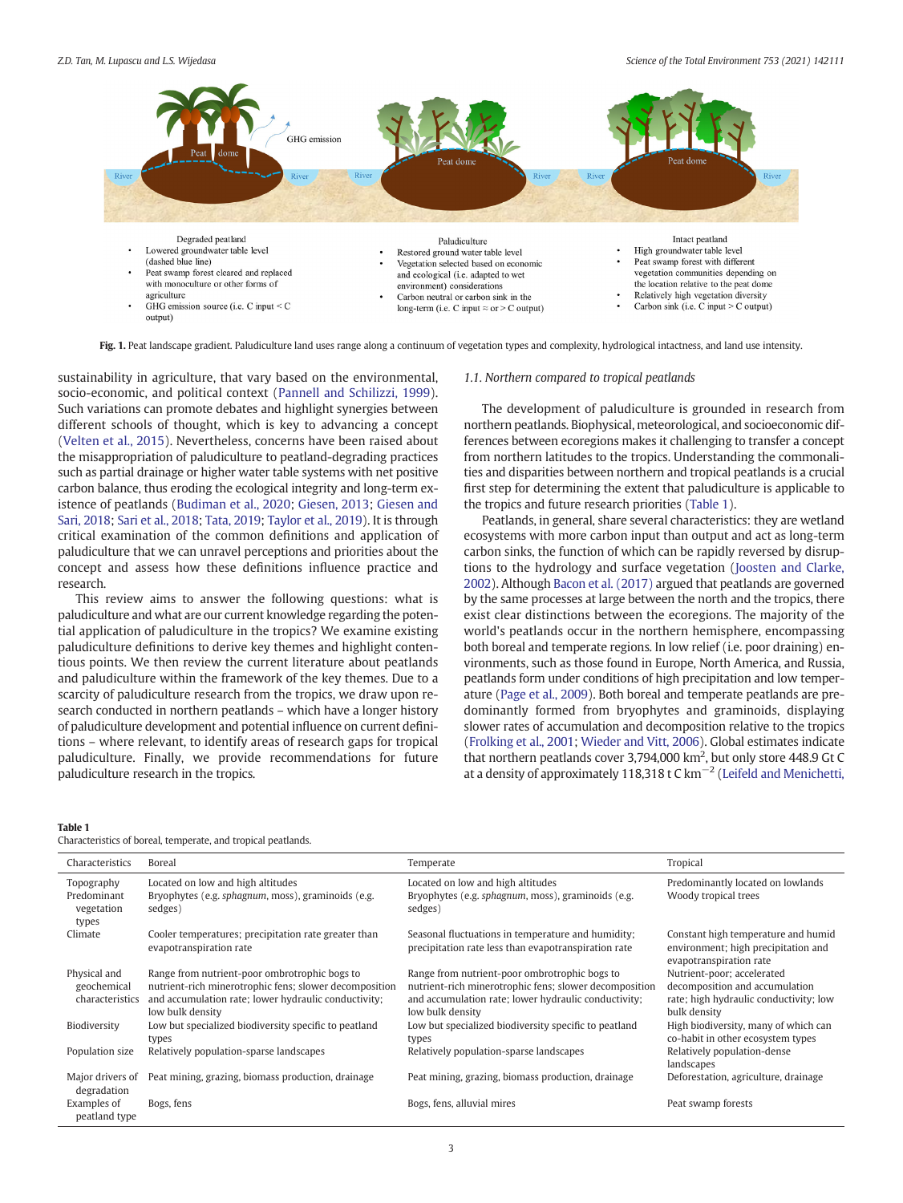<span id="page-2-0"></span>

Fig. 1. Peat landscape gradient. Paludiculture land uses range along a continuum of vegetation types and complexity, hydrological intactness, and land use intensity.

sustainability in agriculture, that vary based on the environmental, socio-economic, and political context ([Pannell and Schilizzi, 1999\)](#page-12-0). Such variations can promote debates and highlight synergies between different schools of thought, which is key to advancing a concept ([Velten et al., 2015\)](#page-12-0). Nevertheless, concerns have been raised about the misappropriation of paludiculture to peatland-degrading practices such as partial drainage or higher water table systems with net positive carbon balance, thus eroding the ecological integrity and long-term existence of peatlands ([Budiman et al., 2020;](#page-9-0) [Giesen, 2013;](#page-10-0) [Giesen and](#page-10-0) [Sari, 2018;](#page-10-0) [Sari et al., 2018;](#page-12-0) [Tata, 2019](#page-12-0); [Taylor et al., 2019\)](#page-12-0). It is through critical examination of the common definitions and application of paludiculture that we can unravel perceptions and priorities about the concept and assess how these definitions influence practice and research.

This review aims to answer the following questions: what is paludiculture and what are our current knowledge regarding the potential application of paludiculture in the tropics? We examine existing paludiculture definitions to derive key themes and highlight contentious points. We then review the current literature about peatlands and paludiculture within the framework of the key themes. Due to a scarcity of paludiculture research from the tropics, we draw upon research conducted in northern peatlands – which have a longer history of paludiculture development and potential influence on current definitions – where relevant, to identify areas of research gaps for tropical paludiculture. Finally, we provide recommendations for future paludiculture research in the tropics.

## 1.1. Northern compared to tropical peatlands

The development of paludiculture is grounded in research from northern peatlands. Biophysical, meteorological, and socioeconomic differences between ecoregions makes it challenging to transfer a concept from northern latitudes to the tropics. Understanding the commonalities and disparities between northern and tropical peatlands is a crucial first step for determining the extent that paludiculture is applicable to the tropics and future research priorities (Table 1).

Peatlands, in general, share several characteristics: they are wetland ecosystems with more carbon input than output and act as long-term carbon sinks, the function of which can be rapidly reversed by disruptions to the hydrology and surface vegetation [\(Joosten and Clarke,](#page-11-0) [2002\)](#page-11-0). Although [Bacon et al. \(2017\)](#page-9-0) argued that peatlands are governed by the same processes at large between the north and the tropics, there exist clear distinctions between the ecoregions. The majority of the world's peatlands occur in the northern hemisphere, encompassing both boreal and temperate regions. In low relief (i.e. poor draining) environments, such as those found in Europe, North America, and Russia, peatlands form under conditions of high precipitation and low temperature [\(Page et al., 2009\)](#page-12-0). Both boreal and temperate peatlands are predominantly formed from bryophytes and graminoids, displaying slower rates of accumulation and decomposition relative to the tropics ([Frolking et al., 2001;](#page-10-0) [Wieder and Vitt, 2006](#page-13-0)). Global estimates indicate that northern peatlands cover 3,794,000  $\text{km}^2$ , but only store 448.9 Gt C at a density of approximately 118,318 t C km<sup> $-2$ </sup> ([Leifeld and Menichetti,](#page-11-0)

#### Table 1

Characteristics of boreal, temperate, and tropical peatlands.

| Characteristics                                  | Boreal                                                                                                                                                                              | Temperate                                                                                                                                                                           | Tropical                                                                                                               |
|--------------------------------------------------|-------------------------------------------------------------------------------------------------------------------------------------------------------------------------------------|-------------------------------------------------------------------------------------------------------------------------------------------------------------------------------------|------------------------------------------------------------------------------------------------------------------------|
| Topography<br>Predominant<br>vegetation<br>types | Located on low and high altitudes<br>Bryophytes (e.g. <i>sphagnum</i> , moss), graminoids (e.g.<br>sedges)                                                                          | Located on low and high altitudes<br>Bryophytes (e.g. sphagnum, moss), graminoids (e.g.<br>sedges)                                                                                  | Predominantly located on lowlands<br>Woody tropical trees                                                              |
| Climate                                          | Cooler temperatures; precipitation rate greater than<br>evapotranspiration rate                                                                                                     | Seasonal fluctuations in temperature and humidity;<br>precipitation rate less than evapotranspiration rate                                                                          | Constant high temperature and humid<br>environment; high precipitation and<br>evapotranspiration rate                  |
| Physical and<br>geochemical<br>characteristics   | Range from nutrient-poor ombrotrophic bogs to<br>nutrient-rich minerotrophic fens; slower decomposition<br>and accumulation rate; lower hydraulic conductivity;<br>low bulk density | Range from nutrient-poor ombrotrophic bogs to<br>nutrient-rich minerotrophic fens; slower decomposition<br>and accumulation rate; lower hydraulic conductivity;<br>low bulk density | Nutrient-poor; accelerated<br>decomposition and accumulation<br>rate; high hydraulic conductivity; low<br>bulk density |
| Biodiversity                                     | Low but specialized biodiversity specific to peatland<br>types                                                                                                                      | Low but specialized biodiversity specific to peatland<br>types                                                                                                                      | High biodiversity, many of which can<br>co-habit in other ecosystem types                                              |
| Population size                                  | Relatively population-sparse landscapes                                                                                                                                             | Relatively population-sparse landscapes                                                                                                                                             | Relatively population-dense<br>landscapes                                                                              |
| Major drivers of<br>degradation                  | Peat mining, grazing, biomass production, drainage                                                                                                                                  | Peat mining, grazing, biomass production, drainage                                                                                                                                  | Deforestation, agriculture, drainage                                                                                   |
| Examples of<br>peatland type                     | Bogs, fens                                                                                                                                                                          | Bogs, fens, alluvial mires                                                                                                                                                          | Peat swamp forests                                                                                                     |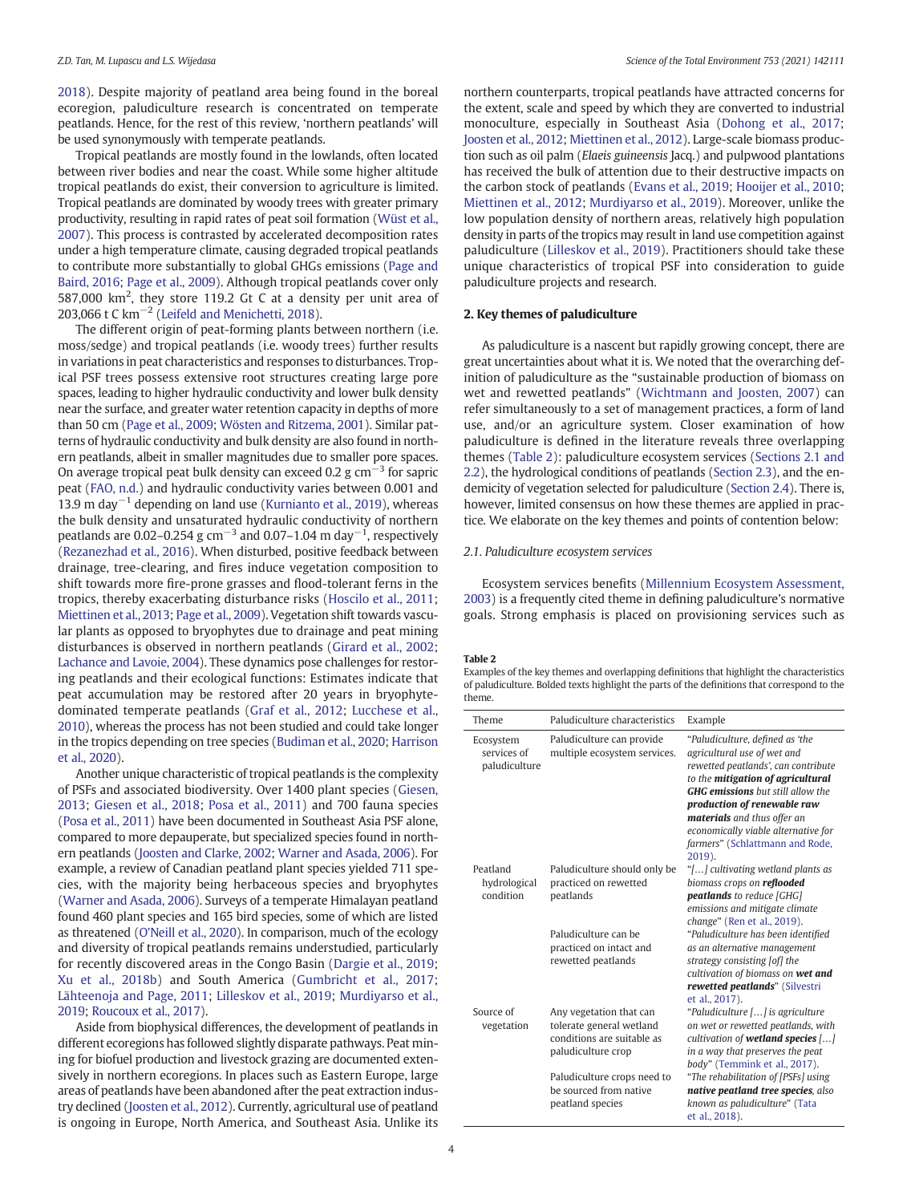[2018\)](#page-11-0). Despite majority of peatland area being found in the boreal ecoregion, paludiculture research is concentrated on temperate peatlands. Hence, for the rest of this review, 'northern peatlands' will be used synonymously with temperate peatlands.

Tropical peatlands are mostly found in the lowlands, often located between river bodies and near the coast. While some higher altitude tropical peatlands do exist, their conversion to agriculture is limited. Tropical peatlands are dominated by woody trees with greater primary productivity, resulting in rapid rates of peat soil formation [\(Wüst et al.,](#page-13-0) [2007](#page-13-0)). This process is contrasted by accelerated decomposition rates under a high temperature climate, causing degraded tropical peatlands to contribute more substantially to global GHGs emissions [\(Page and](#page-12-0) [Baird, 2016;](#page-12-0) [Page et al., 2009](#page-12-0)). Although tropical peatlands cover only 587,000  $km^2$ , they store 119.2 Gt C at a density per unit area of 203,066 t C km<sup>-2</sup> [\(Leifeld and Menichetti, 2018\)](#page-11-0).

The different origin of peat-forming plants between northern (i.e. moss/sedge) and tropical peatlands (i.e. woody trees) further results in variations in peat characteristics and responses to disturbances. Tropical PSF trees possess extensive root structures creating large pore spaces, leading to higher hydraulic conductivity and lower bulk density near the surface, and greater water retention capacity in depths of more than 50 cm ([Page et al., 2009;](#page-12-0) [Wösten and Ritzema, 2001](#page-13-0)). Similar patterns of hydraulic conductivity and bulk density are also found in northern peatlands, albeit in smaller magnitudes due to smaller pore spaces. On average tropical peat bulk density can exceed 0.2 g  $cm^{-3}$  for sapric peat ([FAO, n.d.\)](#page-10-0) and hydraulic conductivity varies between 0.001 and 13.9 m day−<sup>1</sup> depending on land use [\(Kurnianto et al., 2019\)](#page-11-0), whereas the bulk density and unsaturated hydraulic conductivity of northern peatlands are 0.02–0.254 g  $cm^{-3}$  and 0.07–1.04 m day<sup>-1</sup>, respectively ([Rezanezhad et al., 2016](#page-12-0)). When disturbed, positive feedback between drainage, tree-clearing, and fires induce vegetation composition to shift towards more fire-prone grasses and flood-tolerant ferns in the tropics, thereby exacerbating disturbance risks ([Hoscilo et al., 2011](#page-10-0); [Miettinen et al., 2013;](#page-11-0) [Page et al., 2009\)](#page-12-0). Vegetation shift towards vascular plants as opposed to bryophytes due to drainage and peat mining disturbances is observed in northern peatlands [\(Girard et al., 2002](#page-10-0); [Lachance and Lavoie, 2004](#page-11-0)). These dynamics pose challenges for restoring peatlands and their ecological functions: Estimates indicate that peat accumulation may be restored after 20 years in bryophytedominated temperate peatlands [\(Graf et al., 2012](#page-10-0); [Lucchese et al.,](#page-11-0) [2010\)](#page-11-0), whereas the process has not been studied and could take longer in the tropics depending on tree species ([Budiman et al., 2020](#page-9-0); [Harrison](#page-10-0) [et al., 2020\)](#page-10-0).

Another unique characteristic of tropical peatlands is the complexity of PSFs and associated biodiversity. Over 1400 plant species ([Giesen,](#page-10-0) [2013;](#page-10-0) [Giesen et al., 2018;](#page-10-0) [Posa et al., 2011](#page-12-0)) and 700 fauna species ([Posa et al., 2011\)](#page-12-0) have been documented in Southeast Asia PSF alone, compared to more depauperate, but specialized species found in northern peatlands ([Joosten and Clarke, 2002;](#page-11-0) [Warner and Asada, 2006\)](#page-12-0). For example, a review of Canadian peatland plant species yielded 711 species, with the majority being herbaceous species and bryophytes ([Warner and Asada, 2006](#page-12-0)). Surveys of a temperate Himalayan peatland found 460 plant species and 165 bird species, some of which are listed as threatened ([O'Neill et al., 2020\)](#page-11-0). In comparison, much of the ecology and diversity of tropical peatlands remains understudied, particularly for recently discovered areas in the Congo Basin [\(Dargie et al., 2019](#page-10-0); [Xu et al., 2018b\)](#page-13-0) and South America [\(Gumbricht et al., 2017](#page-10-0); [Lähteenoja and Page, 2011;](#page-11-0) [Lilleskov et al., 2019;](#page-11-0) [Murdiyarso et al.,](#page-11-0) [2019;](#page-11-0) [Roucoux et al., 2017](#page-12-0)).

Aside from biophysical differences, the development of peatlands in different ecoregions has followed slightly disparate pathways. Peat mining for biofuel production and livestock grazing are documented extensively in northern ecoregions. In places such as Eastern Europe, large areas of peatlands have been abandoned after the peat extraction industry declined [\(Joosten et al., 2012](#page-11-0)). Currently, agricultural use of peatland is ongoing in Europe, North America, and Southeast Asia. Unlike its northern counterparts, tropical peatlands have attracted concerns for the extent, scale and speed by which they are converted to industrial monoculture, especially in Southeast Asia [\(Dohong et al., 2017](#page-10-0); [Joosten et al., 2012;](#page-11-0) [Miettinen et al., 2012](#page-11-0)). Large-scale biomass production such as oil palm (Elaeis guineensis Jacq.) and pulpwood plantations has received the bulk of attention due to their destructive impacts on the carbon stock of peatlands [\(Evans et al., 2019;](#page-10-0) [Hooijer et al., 2010](#page-10-0); [Miettinen et al., 2012](#page-11-0); [Murdiyarso et al., 2019](#page-11-0)). Moreover, unlike the low population density of northern areas, relatively high population density in parts of the tropics may result in land use competition against paludiculture [\(Lilleskov et al., 2019\)](#page-11-0). Practitioners should take these unique characteristics of tropical PSF into consideration to guide paludiculture projects and research.

# 2. Key themes of paludiculture

As paludiculture is a nascent but rapidly growing concept, there are great uncertainties about what it is. We noted that the overarching definition of paludiculture as the "sustainable production of biomass on wet and rewetted peatlands" [\(Wichtmann and Joosten, 2007\)](#page-13-0) can refer simultaneously to a set of management practices, a form of land use, and/or an agriculture system. Closer examination of how paludiculture is defined in the literature reveals three overlapping themes (Table 2): paludiculture ecosystem services (Sections 2.1 and 2.2), the hydrological conditions of peatlands ([Section 2.3](#page-6-0)), and the endemicity of vegetation selected for paludiculture [\(Section 2.4\)](#page-6-0). There is, however, limited consensus on how these themes are applied in practice. We elaborate on the key themes and points of contention below:

# 2.1. Paludiculture ecosystem services

Ecosystem services benefits ([Millennium Ecosystem Assessment,](#page-11-0) [2003\)](#page-11-0) is a frequently cited theme in defining paludiculture's normative goals. Strong emphasis is placed on provisioning services such as

#### Table 2

Examples of the key themes and overlapping definitions that highlight the characteristics of paludiculture. Bolded texts highlight the parts of the definitions that correspond to the theme.

| Theme                                     | Paludiculture characteristics                                                                                                                                                        | Example                                                                                                                                                                                                                                                                                                                                                      |
|-------------------------------------------|--------------------------------------------------------------------------------------------------------------------------------------------------------------------------------------|--------------------------------------------------------------------------------------------------------------------------------------------------------------------------------------------------------------------------------------------------------------------------------------------------------------------------------------------------------------|
| Ecosystem<br>services of<br>paludiculture | Paludiculture can provide<br>multiple ecosystem services.                                                                                                                            | "Paludiculture, defined as 'the<br>agricultural use of wet and<br>rewetted peatlands', can contribute<br>to the mitigation of agricultural<br><b>GHG emissions</b> but still allow the<br>production of renewable raw<br>materials and thus offer an<br>economically viable alternative for<br>farmers" (Schlattmann and Rode,<br>$2019$ ).                  |
| Peatland<br>hydrological<br>condition     | Paludiculture should only be<br>practiced on rewetted<br>peatlands<br>Paludiculture can be<br>practiced on intact and<br>rewetted peatlands                                          | "[] cultivating wetland plants as<br>biomass crops on reflooded<br>peatlands to reduce [GHG]<br>emissions and mitigate climate<br>change" (Ren et al., 2019).<br>"Paludiculture has been identified<br>as an alternative management<br>strategy consisting [of] the<br>cultivation of biomass on wet and<br>rewetted peatlands" (Silvestri<br>et al., 2017). |
| Source of<br>vegetation                   | Any vegetation that can<br>tolerate general wetland<br>conditions are suitable as<br>paludiculture crop<br>Paludiculture crops need to<br>be sourced from native<br>peatland species | "Paludiculture [] is agriculture<br>on wet or rewetted peatlands, with<br>cultivation of <b>wetland species</b> []<br>in a way that preserves the peat<br>body" (Temmink et al., 2017).<br>"The rehabilitation of [PSFs] using<br>native peatland tree species, also<br>known as paludiculture" (Tata<br>et al., 2018).                                      |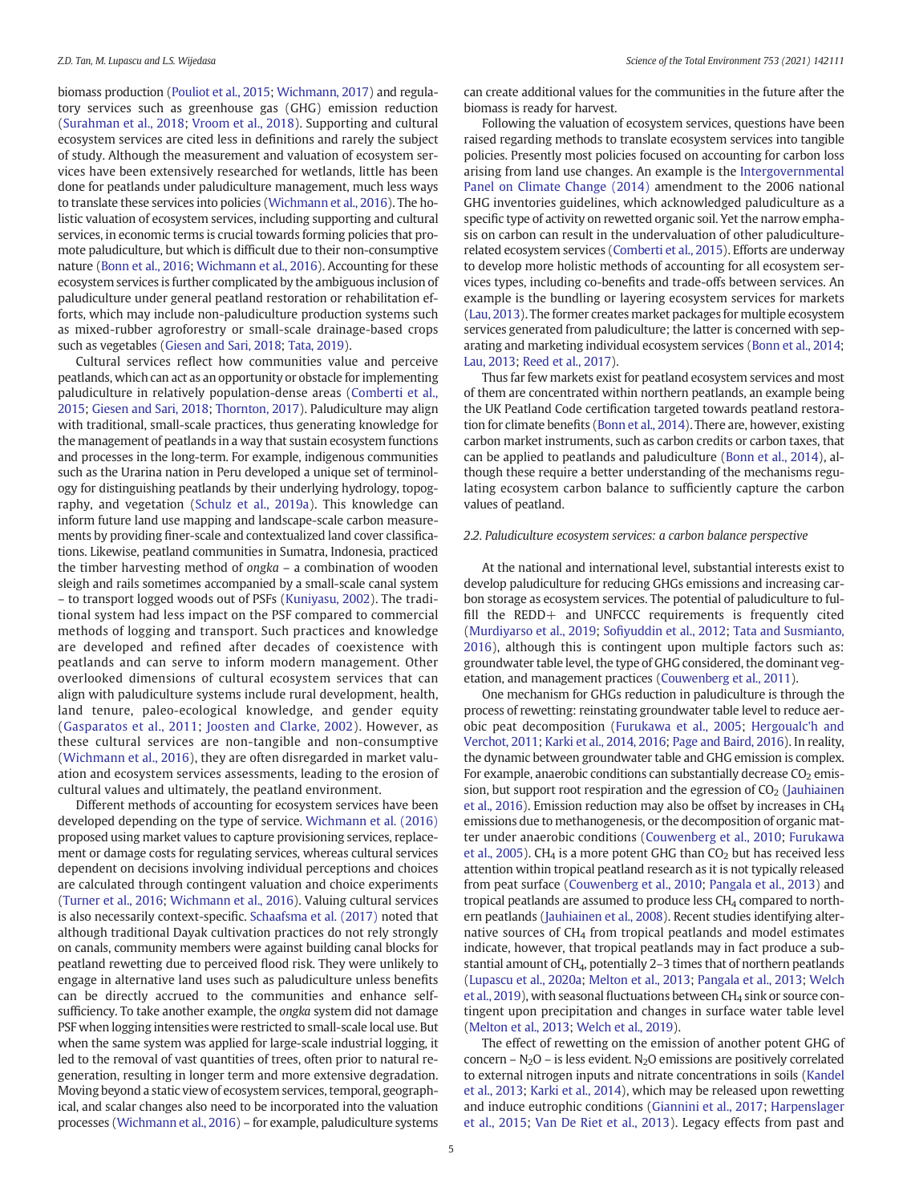biomass production [\(Pouliot et al., 2015](#page-12-0); [Wichmann, 2017](#page-13-0)) and regulatory services such as greenhouse gas (GHG) emission reduction ([Surahman et al., 2018;](#page-12-0) [Vroom et al., 2018](#page-12-0)). Supporting and cultural ecosystem services are cited less in definitions and rarely the subject of study. Although the measurement and valuation of ecosystem services have been extensively researched for wetlands, little has been done for peatlands under paludiculture management, much less ways to translate these services into policies [\(Wichmann et al., 2016\)](#page-13-0). The holistic valuation of ecosystem services, including supporting and cultural services, in economic terms is crucial towards forming policies that promote paludiculture, but which is difficult due to their non-consumptive nature ([Bonn et al., 2016](#page-9-0); [Wichmann et al., 2016](#page-13-0)). Accounting for these ecosystem services is further complicated by the ambiguous inclusion of paludiculture under general peatland restoration or rehabilitation efforts, which may include non-paludiculture production systems such as mixed-rubber agroforestry or small-scale drainage-based crops such as vegetables [\(Giesen and Sari, 2018](#page-10-0); [Tata, 2019\)](#page-12-0).

Cultural services reflect how communities value and perceive peatlands, which can act as an opportunity or obstacle for implementing paludiculture in relatively population-dense areas ([Comberti et al.,](#page-10-0) [2015](#page-10-0); [Giesen and Sari, 2018;](#page-10-0) [Thornton, 2017](#page-12-0)). Paludiculture may align with traditional, small-scale practices, thus generating knowledge for the management of peatlands in a way that sustain ecosystem functions and processes in the long-term. For example, indigenous communities such as the Urarina nation in Peru developed a unique set of terminology for distinguishing peatlands by their underlying hydrology, topography, and vegetation ([Schulz et al., 2019a](#page-12-0)). This knowledge can inform future land use mapping and landscape-scale carbon measurements by providing finer-scale and contextualized land cover classifications. Likewise, peatland communities in Sumatra, Indonesia, practiced the timber harvesting method of ongka – a combination of wooden sleigh and rails sometimes accompanied by a small-scale canal system – to transport logged woods out of PSFs [\(Kuniyasu, 2002](#page-11-0)). The traditional system had less impact on the PSF compared to commercial methods of logging and transport. Such practices and knowledge are developed and refined after decades of coexistence with peatlands and can serve to inform modern management. Other overlooked dimensions of cultural ecosystem services that can align with paludiculture systems include rural development, health, land tenure, paleo-ecological knowledge, and gender equity ([Gasparatos et al., 2011;](#page-10-0) [Joosten and Clarke, 2002](#page-11-0)). However, as these cultural services are non-tangible and non-consumptive ([Wichmann et al., 2016\)](#page-13-0), they are often disregarded in market valuation and ecosystem services assessments, leading to the erosion of cultural values and ultimately, the peatland environment.

Different methods of accounting for ecosystem services have been developed depending on the type of service. [Wichmann et al. \(2016\)](#page-13-0) proposed using market values to capture provisioning services, replacement or damage costs for regulating services, whereas cultural services dependent on decisions involving individual perceptions and choices are calculated through contingent valuation and choice experiments ([Turner et al., 2016](#page-12-0); [Wichmann et al., 2016\)](#page-13-0). Valuing cultural services is also necessarily context-specific. [Schaafsma et al. \(2017\)](#page-12-0) noted that although traditional Dayak cultivation practices do not rely strongly on canals, community members were against building canal blocks for peatland rewetting due to perceived flood risk. They were unlikely to engage in alternative land uses such as paludiculture unless benefits can be directly accrued to the communities and enhance selfsufficiency. To take another example, the ongka system did not damage PSF when logging intensities were restricted to small-scale local use. But when the same system was applied for large-scale industrial logging, it led to the removal of vast quantities of trees, often prior to natural regeneration, resulting in longer term and more extensive degradation. Moving beyond a static view of ecosystem services, temporal, geographical, and scalar changes also need to be incorporated into the valuation processes [\(Wichmann et al., 2016\)](#page-13-0) – for example, paludiculture systems can create additional values for the communities in the future after the biomass is ready for harvest.

Following the valuation of ecosystem services, questions have been raised regarding methods to translate ecosystem services into tangible policies. Presently most policies focused on accounting for carbon loss arising from land use changes. An example is the [Intergovernmental](#page-11-0) [Panel on Climate Change \(2014\)](#page-11-0) amendment to the 2006 national GHG inventories guidelines, which acknowledged paludiculture as a specific type of activity on rewetted organic soil. Yet the narrow emphasis on carbon can result in the undervaluation of other paludiculturerelated ecosystem services ([Comberti et al., 2015\)](#page-10-0). Efforts are underway to develop more holistic methods of accounting for all ecosystem services types, including co-benefits and trade-offs between services. An example is the bundling or layering ecosystem services for markets ([Lau, 2013\)](#page-11-0). The former creates market packages for multiple ecosystem services generated from paludiculture; the latter is concerned with separating and marketing individual ecosystem services [\(Bonn et al., 2014](#page-9-0); [Lau, 2013](#page-11-0); [Reed et al., 2017](#page-12-0)).

Thus far few markets exist for peatland ecosystem services and most of them are concentrated within northern peatlands, an example being the UK Peatland Code certification targeted towards peatland restoration for climate benefits [\(Bonn et al., 2014\)](#page-9-0). There are, however, existing carbon market instruments, such as carbon credits or carbon taxes, that can be applied to peatlands and paludiculture ([Bonn et al., 2014\)](#page-9-0), although these require a better understanding of the mechanisms regulating ecosystem carbon balance to sufficiently capture the carbon values of peatland.

# 2.2. Paludiculture ecosystem services: a carbon balance perspective

At the national and international level, substantial interests exist to develop paludiculture for reducing GHGs emissions and increasing carbon storage as ecosystem services. The potential of paludiculture to fulfill the REDD+ and UNFCCC requirements is frequently cited ([Murdiyarso et al., 2019](#page-11-0); Sofi[yuddin et al., 2012;](#page-12-0) [Tata and Susmianto,](#page-12-0) [2016\)](#page-12-0), although this is contingent upon multiple factors such as: groundwater table level, the type of GHG considered, the dominant vegetation, and management practices [\(Couwenberg et al., 2011\)](#page-10-0).

One mechanism for GHGs reduction in paludiculture is through the process of rewetting: reinstating groundwater table level to reduce aerobic peat decomposition [\(Furukawa et al., 2005](#page-10-0); [Hergoualc'h and](#page-10-0) [Verchot, 2011](#page-10-0); [Karki et al., 2014, 2016](#page-11-0); [Page and Baird, 2016](#page-12-0)). In reality, the dynamic between groundwater table and GHG emission is complex. For example, anaerobic conditions can substantially decrease  $CO<sub>2</sub>$  emission, but support root respiration and the egression of  $CO<sub>2</sub>$  [\(Jauhiainen](#page-11-0) [et al., 2016\)](#page-11-0). Emission reduction may also be offset by increases in  $CH<sub>4</sub>$ emissions due to methanogenesis, or the decomposition of organic matter under anaerobic conditions [\(Couwenberg et al., 2010;](#page-10-0) [Furukawa](#page-10-0) [et al., 2005](#page-10-0)). CH<sub>4</sub> is a more potent GHG than  $CO<sub>2</sub>$  but has received less attention within tropical peatland research as it is not typically released from peat surface [\(Couwenberg et al., 2010](#page-10-0); [Pangala et al., 2013\)](#page-12-0) and tropical peatlands are assumed to produce less  $CH<sub>4</sub>$  compared to northern peatlands ([Jauhiainen et al., 2008](#page-11-0)). Recent studies identifying alternative sources of CH4 from tropical peatlands and model estimates indicate, however, that tropical peatlands may in fact produce a substantial amount of CH4, potentially 2–3 times that of northern peatlands ([Lupascu et al., 2020a;](#page-11-0) [Melton et al., 2013](#page-11-0); [Pangala et al., 2013](#page-12-0); [Welch](#page-13-0) [et al., 2019\)](#page-13-0), with seasonal fluctuations between  $CH<sub>4</sub>$  sink or source contingent upon precipitation and changes in surface water table level ([Melton et al., 2013;](#page-11-0) [Welch et al., 2019\)](#page-13-0).

The effect of rewetting on the emission of another potent GHG of concern –  $N_2O$  – is less evident.  $N_2O$  emissions are positively correlated to external nitrogen inputs and nitrate concentrations in soils [\(Kandel](#page-11-0) [et al., 2013](#page-11-0); [Karki et al., 2014\)](#page-11-0), which may be released upon rewetting and induce eutrophic conditions [\(Giannini et al., 2017;](#page-10-0) [Harpenslager](#page-10-0) [et al., 2015;](#page-10-0) [Van De Riet et al., 2013\)](#page-12-0). Legacy effects from past and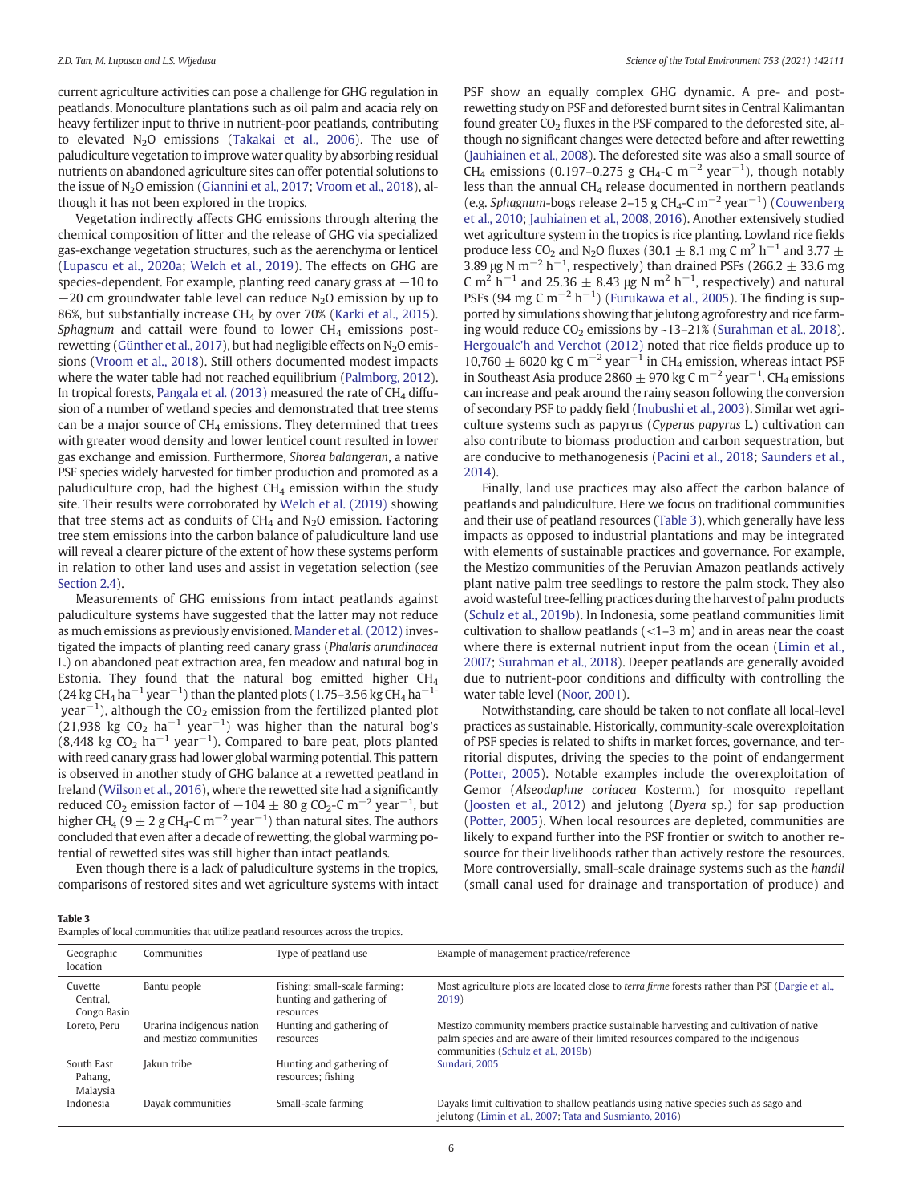current agriculture activities can pose a challenge for GHG regulation in peatlands. Monoculture plantations such as oil palm and acacia rely on heavy fertilizer input to thrive in nutrient-poor peatlands, contributing to elevated  $N_2O$  emissions ([Takakai et al., 2006](#page-12-0)). The use of paludiculture vegetation to improve water quality by absorbing residual nutrients on abandoned agriculture sites can offer potential solutions to the issue of N<sub>2</sub>O emission [\(Giannini et al., 2017;](#page-10-0) [Vroom et al., 2018\)](#page-12-0), although it has not been explored in the tropics.

Vegetation indirectly affects GHG emissions through altering the chemical composition of litter and the release of GHG via specialized gas-exchange vegetation structures, such as the aerenchyma or lenticel ([Lupascu et al., 2020a](#page-11-0); [Welch et al., 2019\)](#page-13-0). The effects on GHG are species-dependent. For example, planting reed canary grass at −10 to −20 cm groundwater table level can reduce N<sub>2</sub>O emission by up to 86%, but substantially increase CH<sub>4</sub> by over 70% ([Karki et al., 2015\)](#page-11-0). Sphagnum and cattail were found to lower  $CH<sub>4</sub>$  emissions post-rewetting ([Günther et al., 2017](#page-10-0)), but had negligible effects on  $N_2O$  emissions [\(Vroom et al., 2018](#page-12-0)). Still others documented modest impacts where the water table had not reached equilibrium ([Palmborg, 2012\)](#page-12-0). In tropical forests, Pangala et al.  $(2013)$  measured the rate of CH<sub>4</sub> diffusion of a number of wetland species and demonstrated that tree stems can be a major source of  $CH<sub>4</sub>$  emissions. They determined that trees with greater wood density and lower lenticel count resulted in lower gas exchange and emission. Furthermore, Shorea balangeran, a native PSF species widely harvested for timber production and promoted as a paludiculture crop, had the highest  $CH<sub>4</sub>$  emission within the study site. Their results were corroborated by [Welch et al. \(2019\)](#page-13-0) showing that tree stems act as conduits of  $CH<sub>4</sub>$  and  $N<sub>2</sub>O$  emission. Factoring tree stem emissions into the carbon balance of paludiculture land use will reveal a clearer picture of the extent of how these systems perform in relation to other land uses and assist in vegetation selection (see [Section 2.4\)](#page-6-0).

Measurements of GHG emissions from intact peatlands against paludiculture systems have suggested that the latter may not reduce as much emissions as previously envisioned. [Mander et al. \(2012\)](#page-11-0) investigated the impacts of planting reed canary grass (Phalaris arundinacea L.) on abandoned peat extraction area, fen meadow and natural bog in Estonia. They found that the natural bog emitted higher  $CH<sub>4</sub>$ (24 kg CH<sub>4</sub> ha<sup>-1</sup> year<sup>-1</sup>) than the planted plots (1.75-3.56 kg CH<sub>4</sub> ha<sup>-1-</sup> year $^{-1}$ ), although the CO $_2$  emission from the fertilized planted plot  $(21,938 \text{ kg } CO<sub>2</sub> \text{ ha}^{-1} \text{ year}^{-1})$  was higher than the natural bog's  $(8,448 \text{ kg } CO<sub>2</sub> \text{ ha}^{-1} \text{ year}^{-1})$ . Compared to bare peat, plots planted with reed canary grass had lower global warming potential. This pattern is observed in another study of GHG balance at a rewetted peatland in Ireland [\(Wilson et al., 2016\)](#page-13-0), where the rewetted site had a significantly reduced CO<sub>2</sub> emission factor of  $-104 \pm 80$  g CO<sub>2</sub>-C m<sup>-2</sup> year<sup>-1</sup>, but higher CH<sub>4</sub> (9  $\pm$  2 g CH<sub>4</sub>-C m<sup>-2</sup> year<sup>-1</sup>) than natural sites. The authors concluded that even after a decade of rewetting, the global warming potential of rewetted sites was still higher than intact peatlands.

Even though there is a lack of paludiculture systems in the tropics, comparisons of restored sites and wet agriculture systems with intact PSF show an equally complex GHG dynamic. A pre- and postrewetting study on PSF and deforested burnt sites in Central Kalimantan found greater  $CO<sub>2</sub>$  fluxes in the PSF compared to the deforested site, although no significant changes were detected before and after rewetting ([Jauhiainen et al., 2008](#page-11-0)). The deforested site was also a small source of CH<sub>4</sub> emissions (0.197–0.275 g CH<sub>4</sub>-C m<sup>-2</sup> year<sup>-1</sup>), though notably less than the annual  $CH<sub>4</sub>$  release documented in northern peatlands (e.g. Sphagnum-bogs release 2–15 g CH<sub>4</sub>-C m<sup>-2</sup> year<sup>-1</sup>) ([Couwenberg](#page-10-0) [et al., 2010;](#page-10-0) [Jauhiainen et al., 2008, 2016\)](#page-11-0). Another extensively studied wet agriculture system in the tropics is rice planting. Lowland rice fields produce less CO<sub>2</sub> and N<sub>2</sub>O fluxes (30.1  $\pm$  8.1 mg C m<sup>2</sup> h<sup>-1</sup> and 3.77  $\pm$ 3.89 μg N m<sup>-2</sup> h<sup>-1</sup>, respectively) than drained PSFs (266.2  $\pm$  33.6 mg C m<sup>2</sup> h<sup>-1</sup> and 25.36  $\pm$  8.43 µg N m<sup>2</sup> h<sup>-1</sup>, respectively) and natural PSFs (94 mg C m<sup>-2</sup> h<sup>-1</sup>) ([Furukawa et al., 2005](#page-10-0)). The finding is supported by simulations showing that jelutong agroforestry and rice farming would reduce  $CO_2$  emissions by ~13–21% [\(Surahman et al., 2018\)](#page-12-0). [Hergoualc'h and Verchot \(2012\)](#page-10-0) noted that rice fields produce up to  $10,760 \pm 6020$  kg C m<sup>-2</sup> year<sup>-1</sup> in CH<sub>4</sub> emission, whereas intact PSF in Southeast Asia produce 2860  $\pm$  970 kg C m<sup>-2</sup> year<sup>-1</sup>. CH<sub>4</sub> emissions can increase and peak around the rainy season following the conversion of secondary PSF to paddy field ([Inubushi et al., 2003](#page-11-0)). Similar wet agriculture systems such as papyrus (Cyperus papyrus L.) cultivation can also contribute to biomass production and carbon sequestration, but are conducive to methanogenesis ([Pacini et al., 2018](#page-11-0); [Saunders et al.,](#page-12-0) [2014\)](#page-12-0).

Finally, land use practices may also affect the carbon balance of peatlands and paludiculture. Here we focus on traditional communities and their use of peatland resources (Table 3), which generally have less impacts as opposed to industrial plantations and may be integrated with elements of sustainable practices and governance. For example, the Mestizo communities of the Peruvian Amazon peatlands actively plant native palm tree seedlings to restore the palm stock. They also avoid wasteful tree-felling practices during the harvest of palm products ([Schulz et al., 2019b](#page-12-0)). In Indonesia, some peatland communities limit cultivation to shallow peatlands  $(<1-3$  m) and in areas near the coast where there is external nutrient input from the ocean ([Limin et al.,](#page-11-0) [2007](#page-11-0); [Surahman et al., 2018](#page-12-0)). Deeper peatlands are generally avoided due to nutrient-poor conditions and difficulty with controlling the water table level ([Noor, 2001](#page-11-0)).

Notwithstanding, care should be taken to not conflate all local-level practices as sustainable. Historically, community-scale overexploitation of PSF species is related to shifts in market forces, governance, and territorial disputes, driving the species to the point of endangerment ([Potter, 2005\)](#page-12-0). Notable examples include the overexploitation of Gemor (Alseodaphne coriacea Kosterm.) for mosquito repellant ([Joosten et al., 2012](#page-11-0)) and jelutong (Dyera sp.) for sap production ([Potter, 2005\)](#page-12-0). When local resources are depleted, communities are likely to expand further into the PSF frontier or switch to another resource for their livelihoods rather than actively restore the resources. More controversially, small-scale drainage systems such as the handil (small canal used for drainage and transportation of produce) and

#### Table 3

Examples of local communities that utilize peatland resources across the tropics.

| Geographic<br>location             | Communities                                          | Type of peatland use                                                   | Example of management practice/reference                                                                                                                                                                      |
|------------------------------------|------------------------------------------------------|------------------------------------------------------------------------|---------------------------------------------------------------------------------------------------------------------------------------------------------------------------------------------------------------|
| Cuvette<br>Central.<br>Congo Basin | Bantu people                                         | Fishing; small-scale farming;<br>hunting and gathering of<br>resources | Most agriculture plots are located close to terra firme forests rather than PSF (Dargie et al.,<br>2019)                                                                                                      |
| Loreto, Peru                       | Urarina indigenous nation<br>and mestizo communities | Hunting and gathering of<br>resources                                  | Mestizo community members practice sustainable harvesting and cultivation of native<br>palm species and are aware of their limited resources compared to the indigenous<br>communities (Schulz et al., 2019b) |
| South East<br>Pahang,<br>Malaysia  | Jakun tribe                                          | Hunting and gathering of<br>resources; fishing                         | Sundari, 2005                                                                                                                                                                                                 |
| Indonesia                          | Dayak communities                                    | Small-scale farming                                                    | Dayaks limit cultivation to shallow peatlands using native species such as sago and<br>jelutong (Limin et al., 2007; Tata and Susmianto, 2016)                                                                |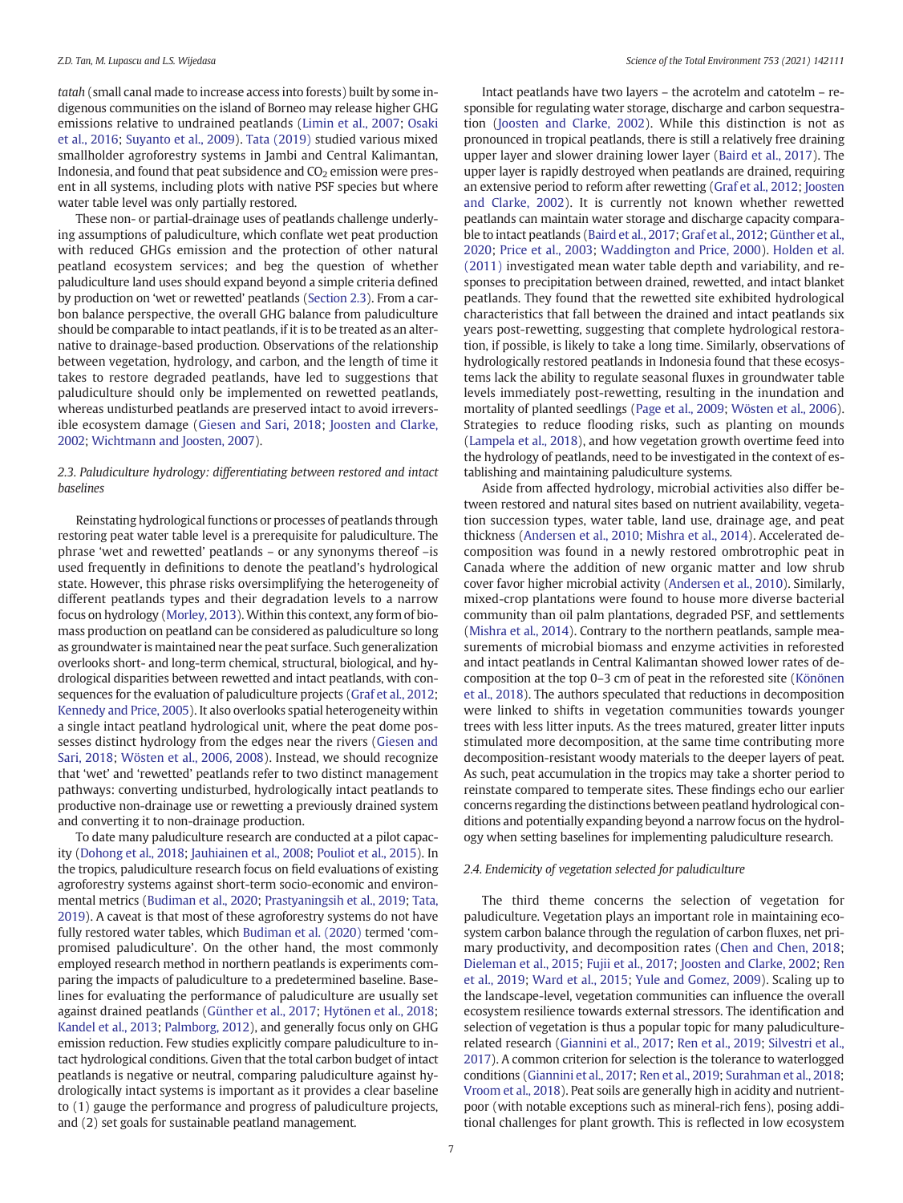<span id="page-6-0"></span>tatah (small canal made to increase access into forests) built by some indigenous communities on the island of Borneo may release higher GHG emissions relative to undrained peatlands ([Limin et al., 2007;](#page-11-0) [Osaki](#page-11-0) [et al., 2016](#page-11-0); [Suyanto et al., 2009\)](#page-12-0). [Tata \(2019\)](#page-12-0) studied various mixed smallholder agroforestry systems in Jambi and Central Kalimantan, Indonesia, and found that peat subsidence and  $CO<sub>2</sub>$  emission were present in all systems, including plots with native PSF species but where water table level was only partially restored.

These non- or partial-drainage uses of peatlands challenge underlying assumptions of paludiculture, which conflate wet peat production with reduced GHGs emission and the protection of other natural peatland ecosystem services; and beg the question of whether paludiculture land uses should expand beyond a simple criteria defined by production on 'wet or rewetted' peatlands (Section 2.3). From a carbon balance perspective, the overall GHG balance from paludiculture should be comparable to intact peatlands, if it is to be treated as an alternative to drainage-based production. Observations of the relationship between vegetation, hydrology, and carbon, and the length of time it takes to restore degraded peatlands, have led to suggestions that paludiculture should only be implemented on rewetted peatlands, whereas undisturbed peatlands are preserved intact to avoid irreversible ecosystem damage ([Giesen and Sari, 2018](#page-10-0); [Joosten and Clarke,](#page-11-0) [2002;](#page-11-0) [Wichtmann and Joosten, 2007](#page-13-0)).

# 2.3. Paludiculture hydrology: differentiating between restored and intact baselines

Reinstating hydrological functions or processes of peatlands through restoring peat water table level is a prerequisite for paludiculture. The phrase 'wet and rewetted' peatlands – or any synonyms thereof –is used frequently in definitions to denote the peatland's hydrological state. However, this phrase risks oversimplifying the heterogeneity of different peatlands types and their degradation levels to a narrow focus on hydrology ([Morley, 2013](#page-11-0)). Within this context, any form of biomass production on peatland can be considered as paludiculture so long as groundwater is maintained near the peat surface. Such generalization overlooks short- and long-term chemical, structural, biological, and hydrological disparities between rewetted and intact peatlands, with consequences for the evaluation of paludiculture projects ([Graf et al., 2012](#page-10-0); [Kennedy and Price, 2005\)](#page-11-0). It also overlooks spatial heterogeneity within a single intact peatland hydrological unit, where the peat dome possesses distinct hydrology from the edges near the rivers ([Giesen and](#page-10-0) [Sari, 2018;](#page-10-0) [Wösten et al., 2006, 2008](#page-13-0)). Instead, we should recognize that 'wet' and 'rewetted' peatlands refer to two distinct management pathways: converting undisturbed, hydrologically intact peatlands to productive non-drainage use or rewetting a previously drained system and converting it to non-drainage production.

To date many paludiculture research are conducted at a pilot capacity [\(Dohong et al., 2018](#page-10-0); [Jauhiainen et al., 2008](#page-11-0); [Pouliot et al., 2015\)](#page-12-0). In the tropics, paludiculture research focus on field evaluations of existing agroforestry systems against short-term socio-economic and environmental metrics [\(Budiman et al., 2020;](#page-9-0) [Prastyaningsih et al., 2019;](#page-12-0) [Tata,](#page-12-0) [2019](#page-12-0)). A caveat is that most of these agroforestry systems do not have fully restored water tables, which [Budiman et al. \(2020\)](#page-9-0) termed 'compromised paludiculture'. On the other hand, the most commonly employed research method in northern peatlands is experiments comparing the impacts of paludiculture to a predetermined baseline. Baselines for evaluating the performance of paludiculture are usually set against drained peatlands ([Günther et al., 2017;](#page-10-0) [Hytönen et al., 2018](#page-11-0); [Kandel et al., 2013;](#page-11-0) [Palmborg, 2012\)](#page-12-0), and generally focus only on GHG emission reduction. Few studies explicitly compare paludiculture to intact hydrological conditions. Given that the total carbon budget of intact peatlands is negative or neutral, comparing paludiculture against hydrologically intact systems is important as it provides a clear baseline to (1) gauge the performance and progress of paludiculture projects, and (2) set goals for sustainable peatland management.

Intact peatlands have two layers – the acrotelm and catotelm – responsible for regulating water storage, discharge and carbon sequestration ([Joosten and Clarke, 2002\)](#page-11-0). While this distinction is not as pronounced in tropical peatlands, there is still a relatively free draining upper layer and slower draining lower layer [\(Baird et al., 2017](#page-9-0)). The upper layer is rapidly destroyed when peatlands are drained, requiring an extensive period to reform after rewetting [\(Graf et al., 2012;](#page-10-0) [Joosten](#page-11-0) [and Clarke, 2002](#page-11-0)). It is currently not known whether rewetted peatlands can maintain water storage and discharge capacity comparable to intact peatlands [\(Baird et al., 2017;](#page-9-0) [Graf et al., 2012;](#page-10-0) [Günther et al.,](#page-10-0) [2020;](#page-10-0) [Price et al., 2003](#page-12-0); [Waddington and Price, 2000](#page-12-0)). [Holden et al.](#page-10-0) [\(2011\)](#page-10-0) investigated mean water table depth and variability, and responses to precipitation between drained, rewetted, and intact blanket peatlands. They found that the rewetted site exhibited hydrological characteristics that fall between the drained and intact peatlands six years post-rewetting, suggesting that complete hydrological restoration, if possible, is likely to take a long time. Similarly, observations of hydrologically restored peatlands in Indonesia found that these ecosystems lack the ability to regulate seasonal fluxes in groundwater table levels immediately post-rewetting, resulting in the inundation and mortality of planted seedlings [\(Page et al., 2009;](#page-12-0) [Wösten et al., 2006\)](#page-13-0). Strategies to reduce flooding risks, such as planting on mounds ([Lampela et al., 2018](#page-11-0)), and how vegetation growth overtime feed into the hydrology of peatlands, need to be investigated in the context of establishing and maintaining paludiculture systems.

Aside from affected hydrology, microbial activities also differ between restored and natural sites based on nutrient availability, vegetation succession types, water table, land use, drainage age, and peat thickness ([Andersen et al., 2010;](#page-9-0) [Mishra et al., 2014](#page-11-0)). Accelerated decomposition was found in a newly restored ombrotrophic peat in Canada where the addition of new organic matter and low shrub cover favor higher microbial activity [\(Andersen et al., 2010](#page-9-0)). Similarly, mixed-crop plantations were found to house more diverse bacterial community than oil palm plantations, degraded PSF, and settlements ([Mishra et al., 2014](#page-11-0)). Contrary to the northern peatlands, sample measurements of microbial biomass and enzyme activities in reforested and intact peatlands in Central Kalimantan showed lower rates of decomposition at the top 0–3 cm of peat in the reforested site ([Könönen](#page-11-0) [et al., 2018](#page-11-0)). The authors speculated that reductions in decomposition were linked to shifts in vegetation communities towards younger trees with less litter inputs. As the trees matured, greater litter inputs stimulated more decomposition, at the same time contributing more decomposition-resistant woody materials to the deeper layers of peat. As such, peat accumulation in the tropics may take a shorter period to reinstate compared to temperate sites. These findings echo our earlier concerns regarding the distinctions between peatland hydrological conditions and potentially expanding beyond a narrow focus on the hydrology when setting baselines for implementing paludiculture research.

# 2.4. Endemicity of vegetation selected for paludiculture

The third theme concerns the selection of vegetation for paludiculture. Vegetation plays an important role in maintaining ecosystem carbon balance through the regulation of carbon fluxes, net primary productivity, and decomposition rates [\(Chen and Chen, 2018](#page-10-0); [Dieleman et al., 2015](#page-10-0); [Fujii et al., 2017](#page-10-0); [Joosten and Clarke, 2002](#page-11-0); [Ren](#page-12-0) [et al., 2019](#page-12-0); [Ward et al., 2015](#page-12-0); [Yule and Gomez, 2009](#page-13-0)). Scaling up to the landscape-level, vegetation communities can influence the overall ecosystem resilience towards external stressors. The identification and selection of vegetation is thus a popular topic for many paludiculturerelated research ([Giannini et al., 2017;](#page-10-0) [Ren et al., 2019](#page-12-0); [Silvestri et al.,](#page-12-0) [2017\)](#page-12-0). A common criterion for selection is the tolerance to waterlogged conditions [\(Giannini et al., 2017;](#page-10-0) [Ren et al., 2019;](#page-12-0) [Surahman et al., 2018](#page-12-0); [Vroom et al., 2018\)](#page-12-0). Peat soils are generally high in acidity and nutrientpoor (with notable exceptions such as mineral-rich fens), posing additional challenges for plant growth. This is reflected in low ecosystem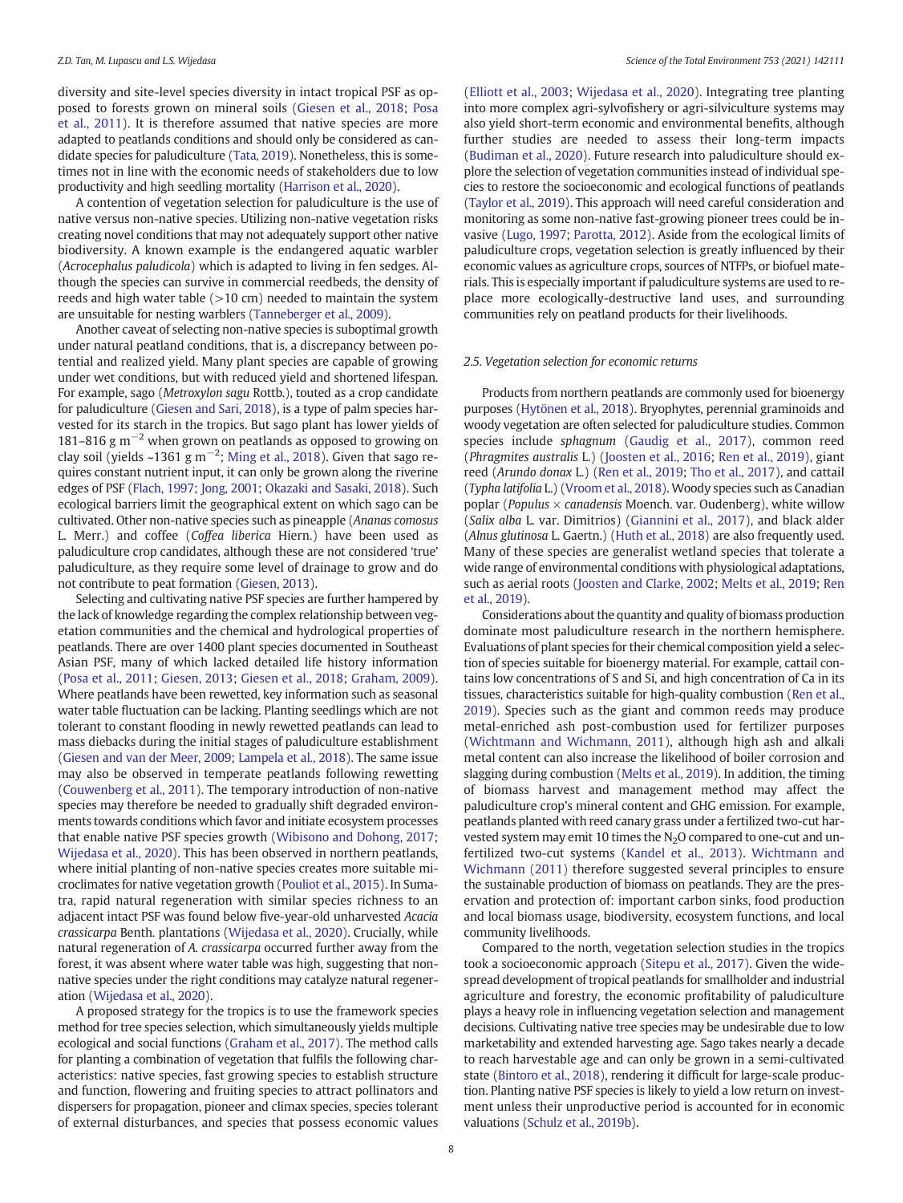diversity and site-level species diversity in intact tropical PSF as opposed to forests grown on mineral soils [\(Giesen et al., 2018;](#page-10-0) [Posa](#page-12-0) [et al., 2011\)](#page-12-0). It is therefore assumed that native species are more adapted to peatlands conditions and should only be considered as candidate species for paludiculture [\(Tata, 2019](#page-12-0)). Nonetheless, this is sometimes not in line with the economic needs of stakeholders due to low productivity and high seedling mortality [\(Harrison et al., 2020\)](#page-10-0).

A contention of vegetation selection for paludiculture is the use of native versus non-native species. Utilizing non-native vegetation risks creating novel conditions that may not adequately support other native biodiversity. A known example is the endangered aquatic warbler (Acrocephalus paludicola) which is adapted to living in fen sedges. Although the species can survive in commercial reedbeds, the density of reeds and high water table (>10 cm) needed to maintain the system are unsuitable for nesting warblers [\(Tanneberger et al., 2009\)](#page-12-0).

Another caveat of selecting non-native species is suboptimal growth under natural peatland conditions, that is, a discrepancy between potential and realized yield. Many plant species are capable of growing under wet conditions, but with reduced yield and shortened lifespan. For example, sago (Metroxylon sagu Rottb.), touted as a crop candidate for paludiculture [\(Giesen and Sari, 2018](#page-10-0)), is a type of palm species harvested for its starch in the tropics. But sago plant has lower yields of 181–816 g m<sup>-2</sup> when grown on peatlands as opposed to growing on clay soil (yields ~1361 g m<sup>-2</sup>; [Ming et al., 2018\)](#page-11-0). Given that sago requires constant nutrient input, it can only be grown along the riverine edges of PSF ([Flach, 1997](#page-10-0); [Jong, 2001](#page-11-0); [Okazaki and Sasaki, 2018\)](#page-11-0). Such ecological barriers limit the geographical extent on which sago can be cultivated. Other non-native species such as pineapple (Ananas comosus L. Merr.) and coffee (Coffea liberica Hiern.) have been used as paludiculture crop candidates, although these are not considered 'true' paludiculture, as they require some level of drainage to grow and do not contribute to peat formation ([Giesen, 2013](#page-10-0)).

Selecting and cultivating native PSF species are further hampered by the lack of knowledge regarding the complex relationship between vegetation communities and the chemical and hydrological properties of peatlands. There are over 1400 plant species documented in Southeast Asian PSF, many of which lacked detailed life history information ([Posa et al., 2011](#page-12-0); [Giesen, 2013;](#page-10-0) [Giesen et al., 2018;](#page-10-0) [Graham, 2009\)](#page-10-0). Where peatlands have been rewetted, key information such as seasonal water table fluctuation can be lacking. Planting seedlings which are not tolerant to constant flooding in newly rewetted peatlands can lead to mass diebacks during the initial stages of paludiculture establishment ([Giesen and van der Meer, 2009;](#page-10-0) [Lampela et al., 2018](#page-11-0)). The same issue may also be observed in temperate peatlands following rewetting ([Couwenberg et al., 2011](#page-10-0)). The temporary introduction of non-native species may therefore be needed to gradually shift degraded environments towards conditions which favor and initiate ecosystem processes that enable native PSF species growth [\(Wibisono and Dohong, 2017](#page-13-0); [Wijedasa et al., 2020\)](#page-13-0). This has been observed in northern peatlands, where initial planting of non-native species creates more suitable microclimates for native vegetation growth [\(Pouliot et al., 2015\)](#page-12-0). In Sumatra, rapid natural regeneration with similar species richness to an adjacent intact PSF was found below five-year-old unharvested Acacia crassicarpa Benth. plantations ([Wijedasa et al., 2020\)](#page-13-0). Crucially, while natural regeneration of A. crassicarpa occurred further away from the forest, it was absent where water table was high, suggesting that nonnative species under the right conditions may catalyze natural regeneration ([Wijedasa et al., 2020](#page-13-0)).

A proposed strategy for the tropics is to use the framework species method for tree species selection, which simultaneously yields multiple ecological and social functions ([Graham et al., 2017](#page-10-0)). The method calls for planting a combination of vegetation that fulfils the following characteristics: native species, fast growing species to establish structure and function, flowering and fruiting species to attract pollinators and dispersers for propagation, pioneer and climax species, species tolerant of external disturbances, and species that possess economic values ([Elliott et al., 2003](#page-10-0); [Wijedasa et al., 2020](#page-13-0)). Integrating tree planting into more complex agri-sylvofishery or agri-silviculture systems may also yield short-term economic and environmental benefits, although further studies are needed to assess their long-term impacts ([Budiman et al., 2020](#page-9-0)). Future research into paludiculture should explore the selection of vegetation communities instead of individual species to restore the socioeconomic and ecological functions of peatlands ([Taylor et al., 2019\)](#page-12-0). This approach will need careful consideration and monitoring as some non-native fast-growing pioneer trees could be invasive [\(Lugo, 1997;](#page-11-0) [Parotta, 2012\)](#page-12-0). Aside from the ecological limits of paludiculture crops, vegetation selection is greatly influenced by their economic values as agriculture crops, sources of NTFPs, or biofuel materials. This is especially important if paludiculture systems are used to replace more ecologically-destructive land uses, and surrounding communities rely on peatland products for their livelihoods.

# 2.5. Vegetation selection for economic returns

Products from northern peatlands are commonly used for bioenergy purposes ([Hytönen et al., 2018\)](#page-11-0). Bryophytes, perennial graminoids and woody vegetation are often selected for paludiculture studies. Common species include sphagnum [\(Gaudig et al., 2017\)](#page-10-0), common reed (Phragmites australis L.) [\(Joosten et al., 2016](#page-11-0); [Ren et al., 2019\)](#page-12-0), giant reed (Arundo donax L.) ([Ren et al., 2019;](#page-12-0) [Tho et al., 2017](#page-12-0)), and cattail (Typha latifolia L.) [\(Vroom et al., 2018](#page-12-0)). Woody species such as Canadian poplar (Populus  $\times$  canadensis Moench. var. Oudenberg), white willow (Salix alba L. var. Dimitrios) [\(Giannini et al., 2017\)](#page-10-0), and black alder (Alnus glutinosa L. Gaertn.) [\(Huth et al., 2018\)](#page-10-0) are also frequently used. Many of these species are generalist wetland species that tolerate a wide range of environmental conditions with physiological adaptations, such as aerial roots [\(Joosten and Clarke, 2002](#page-11-0); [Melts et al., 2019](#page-11-0); [Ren](#page-12-0) [et al., 2019\)](#page-12-0).

Considerations about the quantity and quality of biomass production dominate most paludiculture research in the northern hemisphere. Evaluations of plant species for their chemical composition yield a selection of species suitable for bioenergy material. For example, cattail contains low concentrations of S and Si, and high concentration of Ca in its tissues, characteristics suitable for high-quality combustion ([Ren et al.,](#page-12-0) [2019\)](#page-12-0). Species such as the giant and common reeds may produce metal-enriched ash post-combustion used for fertilizer purposes ([Wichtmann and Wichmann, 2011\)](#page-13-0), although high ash and alkali metal content can also increase the likelihood of boiler corrosion and slagging during combustion [\(Melts et al., 2019](#page-11-0)). In addition, the timing of biomass harvest and management method may affect the paludiculture crop's mineral content and GHG emission. For example, peatlands planted with reed canary grass under a fertilized two-cut harvested system may emit 10 times the  $N_2O$  compared to one-cut and unfertilized two-cut systems [\(Kandel et al., 2013\)](#page-11-0). [Wichtmann and](#page-13-0) [Wichmann \(2011\)](#page-13-0) therefore suggested several principles to ensure the sustainable production of biomass on peatlands. They are the preservation and protection of: important carbon sinks, food production and local biomass usage, biodiversity, ecosystem functions, and local community livelihoods.

Compared to the north, vegetation selection studies in the tropics took a socioeconomic approach [\(Sitepu et al., 2017\)](#page-12-0). Given the widespread development of tropical peatlands for smallholder and industrial agriculture and forestry, the economic profitability of paludiculture plays a heavy role in influencing vegetation selection and management decisions. Cultivating native tree species may be undesirable due to low marketability and extended harvesting age. Sago takes nearly a decade to reach harvestable age and can only be grown in a semi-cultivated state ([Bintoro et al., 2018\)](#page-9-0), rendering it difficult for large-scale production. Planting native PSF species is likely to yield a low return on investment unless their unproductive period is accounted for in economic valuations [\(Schulz et al., 2019b](#page-12-0)).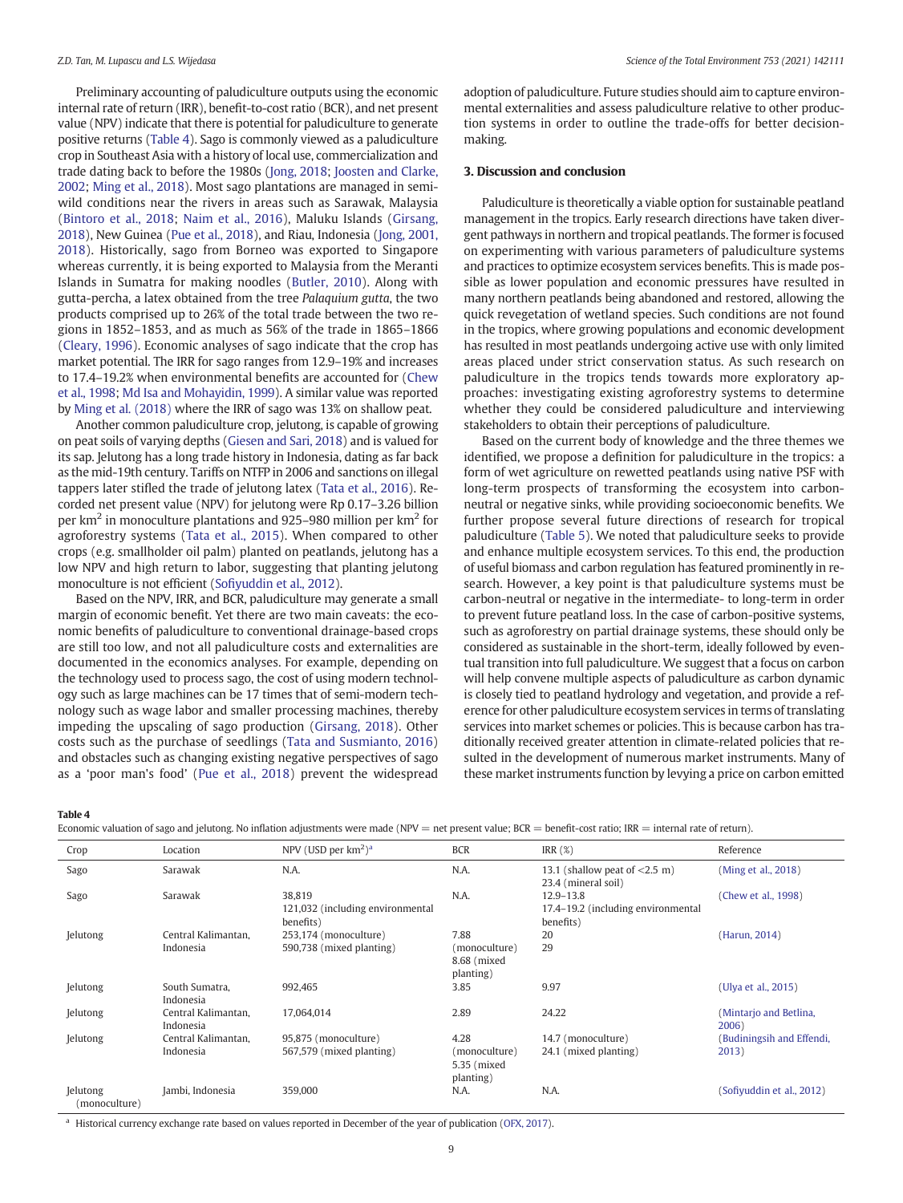Preliminary accounting of paludiculture outputs using the economic internal rate of return (IRR), benefit-to-cost ratio (BCR), and net present value (NPV) indicate that there is potential for paludiculture to generate positive returns (Table 4). Sago is commonly viewed as a paludiculture crop in Southeast Asia with a history of local use, commercialization and trade dating back to before the 1980s [\(Jong, 2018;](#page-11-0) [Joosten and Clarke,](#page-11-0) [2002](#page-11-0); [Ming et al., 2018\)](#page-11-0). Most sago plantations are managed in semiwild conditions near the rivers in areas such as Sarawak, Malaysia ([Bintoro et al., 2018;](#page-9-0) [Naim et al., 2016\)](#page-11-0), Maluku Islands [\(Girsang,](#page-10-0) [2018](#page-10-0)), New Guinea ([Pue et al., 2018](#page-12-0)), and Riau, Indonesia ([Jong, 2001,](#page-11-0) [2018\)](#page-11-0). Historically, sago from Borneo was exported to Singapore whereas currently, it is being exported to Malaysia from the Meranti Islands in Sumatra for making noodles ([Butler, 2010\)](#page-10-0). Along with gutta-percha, a latex obtained from the tree Palaquium gutta, the two products comprised up to 26% of the total trade between the two regions in 1852–1853, and as much as 56% of the trade in 1865–1866 ([Cleary, 1996](#page-10-0)). Economic analyses of sago indicate that the crop has market potential. The IRR for sago ranges from 12.9–19% and increases to 17.4–19.2% when environmental benefits are accounted for ([Chew](#page-10-0) [et al., 1998](#page-10-0); [Md Isa and Mohayidin, 1999](#page-11-0)). A similar value was reported by [Ming et al. \(2018\)](#page-11-0) where the IRR of sago was 13% on shallow peat.

Another common paludiculture crop, jelutong, is capable of growing on peat soils of varying depths [\(Giesen and Sari, 2018\)](#page-10-0) and is valued for its sap. Jelutong has a long trade history in Indonesia, dating as far back as the mid-19th century. Tariffs on NTFP in 2006 and sanctions on illegal tappers later stifled the trade of jelutong latex ([Tata et al., 2016](#page-12-0)). Recorded net present value (NPV) for jelutong were Rp 0.17–3.26 billion per km2 in monoculture plantations and 925–980 million per km2 for agroforestry systems ([Tata et al., 2015](#page-12-0)). When compared to other crops (e.g. smallholder oil palm) planted on peatlands, jelutong has a low NPV and high return to labor, suggesting that planting jelutong monoculture is not efficient (Sofi[yuddin et al., 2012\)](#page-12-0).

Based on the NPV, IRR, and BCR, paludiculture may generate a small margin of economic benefit. Yet there are two main caveats: the economic benefits of paludiculture to conventional drainage-based crops are still too low, and not all paludiculture costs and externalities are documented in the economics analyses. For example, depending on the technology used to process sago, the cost of using modern technology such as large machines can be 17 times that of semi-modern technology such as wage labor and smaller processing machines, thereby impeding the upscaling of sago production ([Girsang, 2018\)](#page-10-0). Other costs such as the purchase of seedlings ([Tata and Susmianto, 2016\)](#page-12-0) and obstacles such as changing existing negative perspectives of sago as a 'poor man's food' ([Pue et al., 2018](#page-12-0)) prevent the widespread adoption of paludiculture. Future studies should aim to capture environmental externalities and assess paludiculture relative to other production systems in order to outline the trade-offs for better decisionmaking.

# 3. Discussion and conclusion

Paludiculture is theoretically a viable option for sustainable peatland management in the tropics. Early research directions have taken divergent pathways in northern and tropical peatlands. The former is focused on experimenting with various parameters of paludiculture systems and practices to optimize ecosystem services benefits. This is made possible as lower population and economic pressures have resulted in many northern peatlands being abandoned and restored, allowing the quick revegetation of wetland species. Such conditions are not found in the tropics, where growing populations and economic development has resulted in most peatlands undergoing active use with only limited areas placed under strict conservation status. As such research on paludiculture in the tropics tends towards more exploratory approaches: investigating existing agroforestry systems to determine whether they could be considered paludiculture and interviewing stakeholders to obtain their perceptions of paludiculture.

Based on the current body of knowledge and the three themes we identified, we propose a definition for paludiculture in the tropics: a form of wet agriculture on rewetted peatlands using native PSF with long-term prospects of transforming the ecosystem into carbonneutral or negative sinks, while providing socioeconomic benefits. We further propose several future directions of research for tropical paludiculture [\(Table 5](#page-9-0)). We noted that paludiculture seeks to provide and enhance multiple ecosystem services. To this end, the production of useful biomass and carbon regulation has featured prominently in research. However, a key point is that paludiculture systems must be carbon-neutral or negative in the intermediate- to long-term in order to prevent future peatland loss. In the case of carbon-positive systems, such as agroforestry on partial drainage systems, these should only be considered as sustainable in the short-term, ideally followed by eventual transition into full paludiculture. We suggest that a focus on carbon will help convene multiple aspects of paludiculture as carbon dynamic is closely tied to peatland hydrology and vegetation, and provide a reference for other paludiculture ecosystem services in terms of translating services into market schemes or policies. This is because carbon has traditionally received greater attention in climate-related policies that resulted in the development of numerous market instruments. Many of these market instruments function by levying a price on carbon emitted

Table 4

```
Economic valuation of sago and jelutong. No inflation adjustments were made (NPV = net present value; BCR = benefit-cost ratio; IRR = internal rate of return).
```

| Crop                      | Location                         | NPV (USD per $km^2$ ) <sup>a</sup>                      | <b>BCR</b>                                         | IRR $(\%)$                                                       | Reference                          |
|---------------------------|----------------------------------|---------------------------------------------------------|----------------------------------------------------|------------------------------------------------------------------|------------------------------------|
| Sago                      | Sarawak                          | N.A.                                                    | N.A.                                               | 13.1 (shallow peat of $<$ 2.5 m)<br>23.4 (mineral soil)          | (Ming et al., 2018)                |
| Sago                      | Sarawak                          | 38,819<br>121,032 (including environmental<br>benefits) | N.A.                                               | $12.9 - 13.8$<br>17.4–19.2 (including environmental<br>benefits) | (Chew et al., 1998)                |
| Jelutong                  | Central Kalimantan,<br>Indonesia | 253,174 (monoculture)<br>590,738 (mixed planting)       | 7.88<br>(monoculture)<br>8.68 (mixed<br>planting)  | 20<br>29                                                         | (Harun, 2014)                      |
| Jelutong                  | South Sumatra.<br>Indonesia      | 992.465                                                 | 3.85                                               | 9.97                                                             | (Ulya et al., 2015)                |
| Jelutong                  | Central Kalimantan,<br>Indonesia | 17.064.014                                              | 2.89                                               | 24.22                                                            | (Mintarjo and Betlina,<br>2006)    |
| Jelutong                  | Central Kalimantan,<br>Indonesia | 95,875 (monoculture)<br>567,579 (mixed planting)        | 4.28<br>(monoculture)<br>5.35 (mixed)<br>planting) | 14.7 (monoculture)<br>24.1 (mixed planting)                      | (Budiningsih and Effendi,<br>2013) |
| Jelutong<br>(monoculture) | Jambi, Indonesia                 | 359,000                                                 | N.A.                                               | N.A.                                                             | (Sofiyuddin et al., 2012)          |

<sup>a</sup> Historical currency exchange rate based on values reported in December of the year of publication [\(OFX, 2017](#page-11-0)).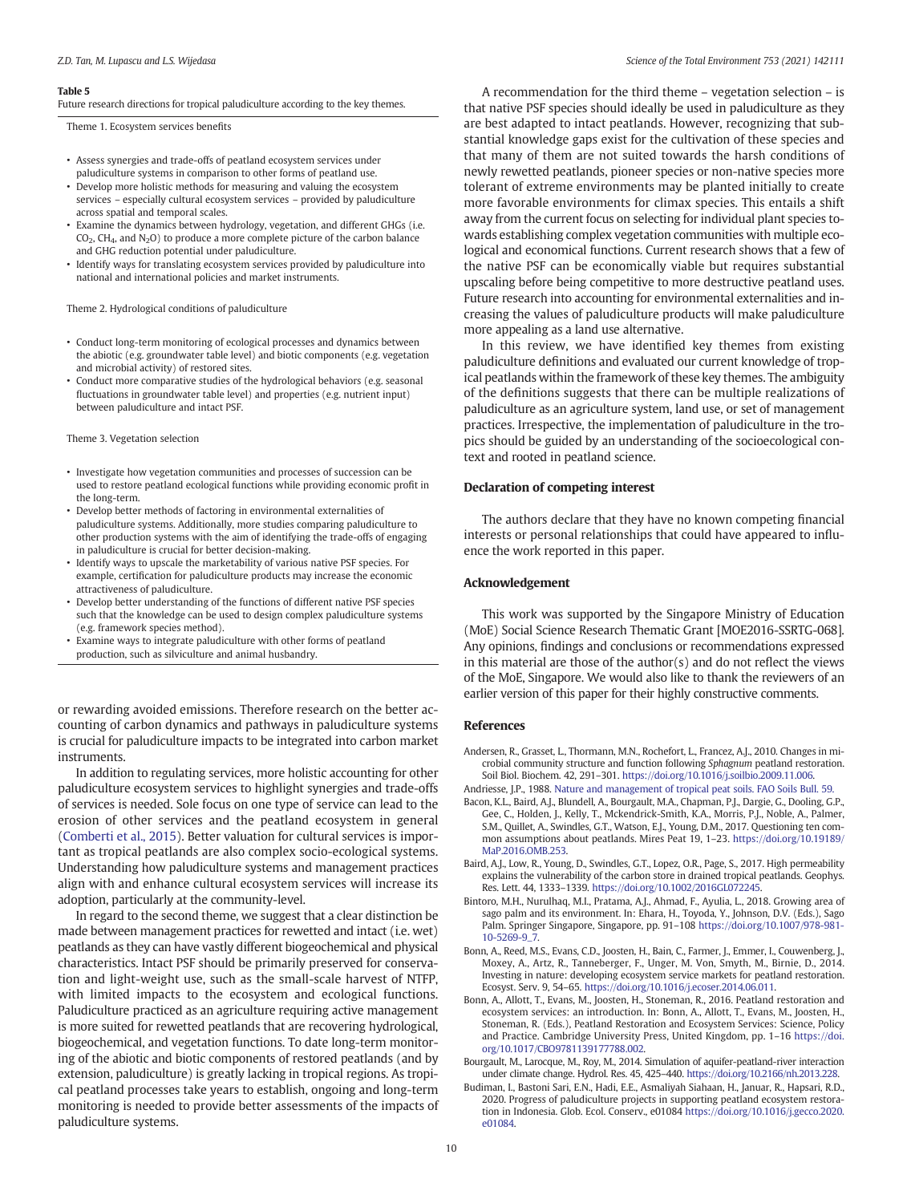### <span id="page-9-0"></span>Table 5

Future research directions for tropical paludiculture according to the key themes.

Theme 1. Ecosystem services benefits

- Assess synergies and trade-offs of peatland ecosystem services under paludiculture systems in comparison to other forms of peatland use.
- Develop more holistic methods for measuring and valuing the ecosystem services – especially cultural ecosystem services – provided by paludiculture across spatial and temporal scales.
- Examine the dynamics between hydrology, vegetation, and different GHGs (i.e.  $CO<sub>2</sub>$ , CH<sub>4</sub>, and N<sub>2</sub>O) to produce a more complete picture of the carbon balance and GHG reduction potential under paludiculture.
- Identify ways for translating ecosystem services provided by paludiculture into national and international policies and market instruments.

Theme 2. Hydrological conditions of paludiculture

- Conduct long-term monitoring of ecological processes and dynamics between the abiotic (e.g. groundwater table level) and biotic components (e.g. vegetation and microbial activity) of restored sites.
- Conduct more comparative studies of the hydrological behaviors (e.g. seasonal fluctuations in groundwater table level) and properties (e.g. nutrient input) between paludiculture and intact PSF.

Theme 3. Vegetation selection

- Investigate how vegetation communities and processes of succession can be used to restore peatland ecological functions while providing economic profit in the long-term.
- Develop better methods of factoring in environmental externalities of paludiculture systems. Additionally, more studies comparing paludiculture to other production systems with the aim of identifying the trade-offs of engaging in paludiculture is crucial for better decision-making.
- Identify ways to upscale the marketability of various native PSF species. For example, certification for paludiculture products may increase the economic attractiveness of paludiculture.
- Develop better understanding of the functions of different native PSF species such that the knowledge can be used to design complex paludiculture systems (e.g. framework species method).
- Examine ways to integrate paludiculture with other forms of peatland production, such as silviculture and animal husbandry.

or rewarding avoided emissions. Therefore research on the better accounting of carbon dynamics and pathways in paludiculture systems is crucial for paludiculture impacts to be integrated into carbon market instruments.

In addition to regulating services, more holistic accounting for other paludiculture ecosystem services to highlight synergies and trade-offs of services is needed. Sole focus on one type of service can lead to the erosion of other services and the peatland ecosystem in general ([Comberti et al., 2015](#page-10-0)). Better valuation for cultural services is important as tropical peatlands are also complex socio-ecological systems. Understanding how paludiculture systems and management practices align with and enhance cultural ecosystem services will increase its adoption, particularly at the community-level.

In regard to the second theme, we suggest that a clear distinction be made between management practices for rewetted and intact (i.e. wet) peatlands as they can have vastly different biogeochemical and physical characteristics. Intact PSF should be primarily preserved for conservation and light-weight use, such as the small-scale harvest of NTFP, with limited impacts to the ecosystem and ecological functions. Paludiculture practiced as an agriculture requiring active management is more suited for rewetted peatlands that are recovering hydrological, biogeochemical, and vegetation functions. To date long-term monitoring of the abiotic and biotic components of restored peatlands (and by extension, paludiculture) is greatly lacking in tropical regions. As tropical peatland processes take years to establish, ongoing and long-term monitoring is needed to provide better assessments of the impacts of paludiculture systems.

A recommendation for the third theme – vegetation selection – is that native PSF species should ideally be used in paludiculture as they are best adapted to intact peatlands. However, recognizing that substantial knowledge gaps exist for the cultivation of these species and that many of them are not suited towards the harsh conditions of newly rewetted peatlands, pioneer species or non-native species more tolerant of extreme environments may be planted initially to create more favorable environments for climax species. This entails a shift away from the current focus on selecting for individual plant species towards establishing complex vegetation communities with multiple ecological and economical functions. Current research shows that a few of the native PSF can be economically viable but requires substantial upscaling before being competitive to more destructive peatland uses. Future research into accounting for environmental externalities and increasing the values of paludiculture products will make paludiculture more appealing as a land use alternative.

In this review, we have identified key themes from existing paludiculture definitions and evaluated our current knowledge of tropical peatlands within the framework of these key themes. The ambiguity of the definitions suggests that there can be multiple realizations of paludiculture as an agriculture system, land use, or set of management practices. Irrespective, the implementation of paludiculture in the tropics should be guided by an understanding of the socioecological context and rooted in peatland science.

# Declaration of competing interest

The authors declare that they have no known competing financial interests or personal relationships that could have appeared to influence the work reported in this paper.

# Acknowledgement

This work was supported by the Singapore Ministry of Education (MoE) Social Science Research Thematic Grant [MOE2016-SSRTG-068]. Any opinions, findings and conclusions or recommendations expressed in this material are those of the author( $s$ ) and do not reflect the views of the MoE, Singapore. We would also like to thank the reviewers of an earlier version of this paper for their highly constructive comments.

# References

- Andersen, R., Grasset, L., Thormann, M.N., Rochefort, L., Francez, A.J., 2010. Changes in microbial community structure and function following Sphagnum peatland restoration. Soil Biol. Biochem. 42, 291–301. <https://doi.org/10.1016/j.soilbio.2009.11.006>.
- Andriesse, J.P., 1988. [Nature and management of tropical peat soils. FAO Soils Bull. 59](http://refhub.elsevier.com/S0048-9697(20)35640-0/rf0010). Bacon, K.L., Baird, A.J., Blundell, A., Bourgault, M.A., Chapman, P.J., Dargie, G., Dooling, G.P.,
- Gee, C., Holden, J., Kelly, T., Mckendrick-Smith, K.A., Morris, P.J., Noble, A., Palmer, S.M., Quillet, A., Swindles, G.T., Watson, E.J., Young, D.M., 2017. Questioning ten common assumptions about peatlands. Mires Peat 19, 1–23. [https://doi.org/10.19189/](https://doi.org/10.19189/MaP.2016.OMB.253) [MaP.2016.OMB.253](https://doi.org/10.19189/MaP.2016.OMB.253).
- Baird, A.J., Low, R., Young, D., Swindles, G.T., Lopez, O.R., Page, S., 2017. High permeability explains the vulnerability of the carbon store in drained tropical peatlands. Geophys. Res. Lett. 44, 1333–1339. [https://doi.org/10.1002/2016GL072245.](https://doi.org/10.1002/2016GL072245)
- Bintoro, M.H., Nurulhaq, M.I., Pratama, A.J., Ahmad, F., Ayulia, L., 2018. Growing area of sago palm and its environment. In: Ehara, H., Toyoda, Y., Johnson, D.V. (Eds.), Sago Palm. Springer Singapore, Singapore, pp. 91–108 [https://doi.org/10.1007/978-981-](https://doi.org/10.1007/978-981-10-5269-9_7) [10-5269-9\\_7.](https://doi.org/10.1007/978-981-10-5269-9_7)
- Bonn, A., Reed, M.S., Evans, C.D., Joosten, H., Bain, C., Farmer, J., Emmer, I., Couwenberg, J., Moxey, A., Artz, R., Tanneberger, F., Unger, M. Von, Smyth, M., Birnie, D., 2014. Investing in nature: developing ecosystem service markets for peatland restoration. Ecosyst. Serv. 9, 54–65. [https://doi.org/10.1016/j.ecoser.2014.06.011.](https://doi.org/10.1016/j.ecoser.2014.06.011)
- Bonn, A., Allott, T., Evans, M., Joosten, H., Stoneman, R., 2016. Peatland restoration and ecosystem services: an introduction. In: Bonn, A., Allott, T., Evans, M., Joosten, H., Stoneman, R. (Eds.), Peatland Restoration and Ecosystem Services: Science, Policy and Practice. Cambridge University Press, United Kingdom, pp. 1–16 [https://doi.](https://doi.org/10.1017/CBO9781139177788.002) [org/10.1017/CBO9781139177788.002.](https://doi.org/10.1017/CBO9781139177788.002)
- Bourgault, M., Larocque, M., Roy, M., 2014. Simulation of aquifer-peatland-river interaction under climate change. Hydrol. Res. 45, 425–440. [https://doi.org/10.2166/nh.2013.228.](https://doi.org/10.2166/nh.2013.228)
- Budiman, I., Bastoni Sari, E.N., Hadi, E.E., Asmaliyah Siahaan, H., Januar, R., Hapsari, R.D., 2020. Progress of paludiculture projects in supporting peatland ecosystem restoration in Indonesia. Glob. Ecol. Conserv., e01084 [https://doi.org/10.1016/j.gecco.2020.](https://doi.org/10.1016/j.gecco.2020.e01084) [e01084](https://doi.org/10.1016/j.gecco.2020.e01084).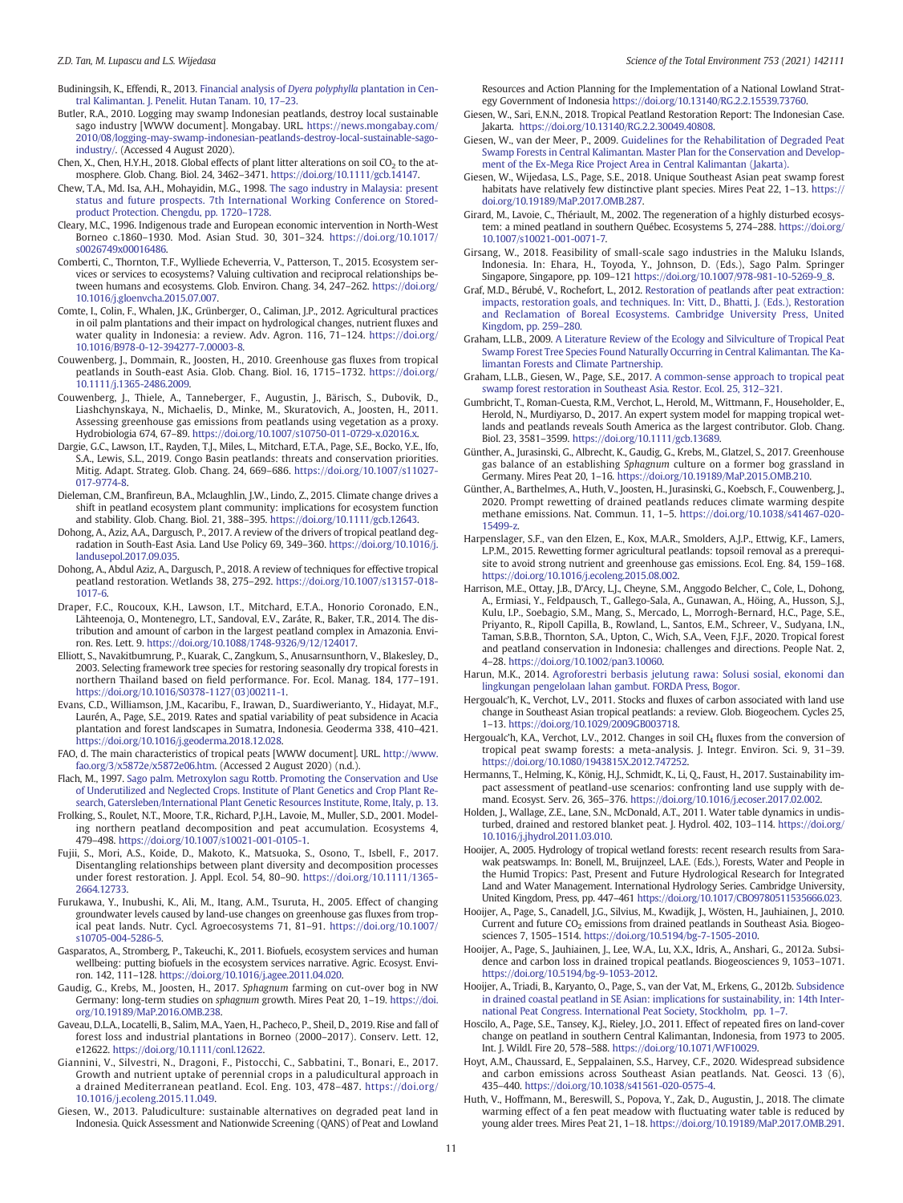- <span id="page-10-0"></span>Butler, R.A., 2010. Logging may swamp Indonesian peatlands, destroy local sustainable sago industry [WWW document]. Mongabay. URL. [https://news.mongabay.com/](https://news.mongabay.com/2010/08/logging-may-swamp-indonesian-peatlands-destroy-local-sustainable-sago-industry/) [2010/08/logging-may-swamp-indonesian-peatlands-destroy-local-sustainable-sago](https://news.mongabay.com/2010/08/logging-may-swamp-indonesian-peatlands-destroy-local-sustainable-sago-industry/)[industry/.](https://news.mongabay.com/2010/08/logging-may-swamp-indonesian-peatlands-destroy-local-sustainable-sago-industry/) (Accessed 4 August 2020).
- Chen, X., Chen, H.Y.H., 2018. Global effects of plant litter alterations on soil  $CO<sub>2</sub>$  to the atmosphere. Glob. Chang. Biol. 24, 3462–3471. [https://doi.org/10.1111/gcb.14147.](https://doi.org/10.1111/gcb.14147)
- Chew, T.A., Md. Isa, A.H., Mohayidin, M.G., 1998. [The sago industry in Malaysia: present](http://refhub.elsevier.com/S0048-9697(20)35640-0/rf0065) [status and future prospects. 7th International Working Conference on Stored](http://refhub.elsevier.com/S0048-9697(20)35640-0/rf0065)[product Protection. Chengdu, pp. 1720](http://refhub.elsevier.com/S0048-9697(20)35640-0/rf0065)–1728.
- Cleary, M.C., 1996. Indigenous trade and European economic intervention in North-West Borneo c.1860–1930. Mod. Asian Stud. 30, 301–324. [https://doi.org/10.1017/](https://doi.org/10.1017/s0026749x00016486) [s0026749x00016486.](https://doi.org/10.1017/s0026749x00016486)
- Comberti, C., Thornton, T.F., Wylliede Echeverria, V., Patterson, T., 2015. Ecosystem services or services to ecosystems? Valuing cultivation and reciprocal relationships between humans and ecosystems. Glob. Environ. Chang. 34, 247–262. [https://doi.org/](https://doi.org/10.1016/j.gloenvcha.2015.07.007) [10.1016/j.gloenvcha.2015.07.007](https://doi.org/10.1016/j.gloenvcha.2015.07.007).
- Comte, I., Colin, F., Whalen, J.K., Grünberger, O., Caliman, J.P., 2012. Agricultural practices in oil palm plantations and their impact on hydrological changes, nutrient fluxes and water quality in Indonesia: a review. Adv. Agron. 116, 71–124. [https://doi.org/](https://doi.org/10.1016/B978-0-12-394277-7.00003-8) [10.1016/B978-0-12-394277-7.00003-8](https://doi.org/10.1016/B978-0-12-394277-7.00003-8).
- Couwenberg, J., Dommain, R., Joosten, H., 2010. Greenhouse gas fluxes from tropical peatlands in South-east Asia. Glob. Chang. Biol. 16, 1715–1732. [https://doi.org/](https://doi.org/10.1111/j.1365-2486.2009) [10.1111/j.1365-2486.2009.](https://doi.org/10.1111/j.1365-2486.2009)
- Couwenberg, J., Thiele, A., Tanneberger, F., Augustin, J., Bärisch, S., Dubovik, D., Liashchynskaya, N., Michaelis, D., Minke, M., Skuratovich, A., Joosten, H., 2011. Assessing greenhouse gas emissions from peatlands using vegetation as a proxy. Hydrobiologia 674, 67–89. <https://doi.org/10.1007/s10750-011-0729-x.02016.x>.
- Dargie, G.C., Lawson, I.T., Rayden, T.J., Miles, L., Mitchard, E.T.A., Page, S.E., Bocko, Y.E., Ifo, S.A., Lewis, S.L., 2019. Congo Basin peatlands: threats and conservation priorities. Mitig. Adapt. Strateg. Glob. Chang. 24, 669–686. [https://doi.org/10.1007/s11027-](https://doi.org/10.1007/s11027-017-9774-8) [017-9774-8.](https://doi.org/10.1007/s11027-017-9774-8)
- Dieleman, C.M., Branfireun, B.A., Mclaughlin, J.W., Lindo, Z., 2015. Climate change drives a shift in peatland ecosystem plant community: implications for ecosystem function and stability. Glob. Chang. Biol. 21, 388–395. <https://doi.org/10.1111/gcb.12643>.
- Dohong, A., Aziz, A.A., Dargusch, P., 2017. A review of the drivers of tropical peatland degradation in South-East Asia. Land Use Policy 69, 349–360. [https://doi.org/10.1016/j.](https://doi.org/10.1016/j.landusepol.2017.09.035) [landusepol.2017.09.035](https://doi.org/10.1016/j.landusepol.2017.09.035).
- Dohong, A., Abdul Aziz, A., Dargusch, P., 2018. A review of techniques for effective tropical peatland restoration. Wetlands 38, 275–292. [https://doi.org/10.1007/s13157-018-](https://doi.org/10.1007/s13157-018-1017-6) [1017-6](https://doi.org/10.1007/s13157-018-1017-6).
- Draper, F.C., Roucoux, K.H., Lawson, I.T., Mitchard, E.T.A., Honorio Coronado, E.N., Lähteenoja, O., Montenegro, L.T., Sandoval, E.V., Zaráte, R., Baker, T.R., 2014. The distribution and amount of carbon in the largest peatland complex in Amazonia. Environ. Res. Lett. 9. <https://doi.org/10.1088/1748-9326/9/12/124017>.
- Elliott, S., Navakitbumrung, P., Kuarak, C., Zangkum, S., Anusarnsunthorn, V., Blakesley, D., 2003. Selecting framework tree species for restoring seasonally dry tropical forests in northern Thailand based on field performance. For. Ecol. Manag. 184, 177–191. [https://doi.org/10.1016/S0378-1127\(03\)00211-1.](https://doi.org/10.1016/S0378-1127(03)00211-1)
- Evans, C.D., Williamson, J.M., Kacaribu, F., Irawan, D., Suardiwerianto, Y., Hidayat, M.F., Laurén, A., Page, S.E., 2019. Rates and spatial variability of peat subsidence in Acacia plantation and forest landscapes in Sumatra, Indonesia. Geoderma 338, 410–421. [https://doi.org/10.1016/j.geoderma.2018.12.028.](https://doi.org/10.1016/j.geoderma.2018.12.028)
- FAO, d. The main characteristics of tropical peats [WWW document]. URL. [http://www.](http://www.fao.org/3/x5872e/x5872e06.htm) [fao.org/3/x5872e/x5872e06.htm.](http://www.fao.org/3/x5872e/x5872e06.htm) (Accessed 2 August 2020) (n.d.).
- Flach, M., 1997. [Sago palm. Metroxylon sagu Rottb. Promoting the Conservation and Use](http://refhub.elsevier.com/S0048-9697(20)35640-0/rf0135) [of Underutilized and Neglected Crops. Institute of Plant Genetics and Crop Plant Re](http://refhub.elsevier.com/S0048-9697(20)35640-0/rf0135)[search, Gatersleben/International Plant Genetic Resources Institute, Rome, Italy, p. 13.](http://refhub.elsevier.com/S0048-9697(20)35640-0/rf0135)
- Frolking, S., Roulet, N.T., Moore, T.R., Richard, P.J.H., Lavoie, M., Muller, S.D., 2001. Modeling northern peatland decomposition and peat accumulation. Ecosystems 4, 479–498. [https://doi.org/10.1007/s10021-001-0105-1.](https://doi.org/10.1007/s10021-001-0105-1)
- Fujii, S., Mori, A.S., Koide, D., Makoto, K., Matsuoka, S., Osono, T., Isbell, F., 2017. Disentangling relationships between plant diversity and decomposition processes under forest restoration. J. Appl. Ecol. 54, 80–90. [https://doi.org/10.1111/1365-](https://doi.org/10.1111/1365-2664.12733) [2664.12733](https://doi.org/10.1111/1365-2664.12733).
- Furukawa, Y., Inubushi, K., Ali, M., Itang, A.M., Tsuruta, H., 2005. Effect of changing groundwater levels caused by land-use changes on greenhouse gas fluxes from tropical peat lands. Nutr. Cycl. Agroecosystems 71, 81–91. [https://doi.org/10.1007/](https://doi.org/10.1007/s10705-004-5286-5) [s10705-004-5286-5](https://doi.org/10.1007/s10705-004-5286-5).
- Gasparatos, A., Stromberg, P., Takeuchi, K., 2011. Biofuels, ecosystem services and human wellbeing: putting biofuels in the ecosystem services narrative. Agric. Ecosyst. Environ. 142, 111–128. <https://doi.org/10.1016/j.agee.2011.04.020>.
- Gaudig, G., Krebs, M., Joosten, H., 2017. Sphagnum farming on cut-over bog in NW Germany: long-term studies on sphagnum growth. Mires Peat 20, 1–19. [https://doi.](https://doi.org/10.19189/MaP.2016.OMB.238) [org/10.19189/MaP.2016.OMB.238](https://doi.org/10.19189/MaP.2016.OMB.238).
- Gaveau, D.L.A., Locatelli, B., Salim, M.A., Yaen, H., Pacheco, P., Sheil, D., 2019. Rise and fall of forest loss and industrial plantations in Borneo (2000–2017). Conserv. Lett. 12, e12622. <https://doi.org/10.1111/conl.12622>.
- Giannini, V., Silvestri, N., Dragoni, F., Pistocchi, C., Sabbatini, T., Bonari, E., 2017. Growth and nutrient uptake of perennial crops in a paludicultural approach in a drained Mediterranean peatland. Ecol. Eng. 103, 478–487. [https://doi.org/](https://doi.org/10.1016/j.ecoleng.2015.11.049) [10.1016/j.ecoleng.2015.11.049](https://doi.org/10.1016/j.ecoleng.2015.11.049).
- Giesen, W., 2013. Paludiculture: sustainable alternatives on degraded peat land in Indonesia. Quick Assessment and Nationwide Screening (QANS) of Peat and Lowland

Resources and Action Planning for the Implementation of a National Lowland Strategy Government of Indonesia [https://doi.org/10.13140/RG.2.2.15539.73760.](https://doi.org/10.13140/RG.2.2.15539.73760)

- Giesen, W., Sari, E.N.N., 2018. Tropical Peatland Restoration Report: The Indonesian Case. Jakarta. <https://doi.org/10.13140/RG.2.2.30049.40808>.
- Giesen, W., van der Meer, P., 2009. [Guidelines for the Rehabilitation of Degraded Peat](http://refhub.elsevier.com/S0048-9697(20)35640-0/rf0190) [Swamp Forests in Central Kalimantan. Master Plan for the Conservation and Develop](http://refhub.elsevier.com/S0048-9697(20)35640-0/rf0190)[ment of the Ex-Mega Rice Project Area in Central Kalimantan \(Jakarta\)](http://refhub.elsevier.com/S0048-9697(20)35640-0/rf0190).
- Giesen, W., Wijedasa, L.S., Page, S.E., 2018. Unique Southeast Asian peat swamp forest habitats have relatively few distinctive plant species. Mires Peat 22, 1–13. [https://](https://doi.org/10.19189/MaP.2017.OMB.287) [doi.org/10.19189/MaP.2017.OMB.287.](https://doi.org/10.19189/MaP.2017.OMB.287)
- Girard, M., Lavoie, C., Thériault, M., 2002. The regeneration of a highly disturbed ecosystem: a mined peatland in southern Québec. Ecosystems 5, 274–288. [https://doi.org/](https://doi.org/10.1007/s10021-001-0071-7) [10.1007/s10021-001-0071-7](https://doi.org/10.1007/s10021-001-0071-7).
- Girsang, W., 2018. Feasibility of small-scale sago industries in the Maluku Islands, Indonesia. In: Ehara, H., Toyoda, Y., Johnson, D. (Eds.), Sago Palm. Springer Singapore, Singapore, pp. 109–121 [https://doi.org/10.1007/978-981-10-5269-9\\_8](https://doi.org/10.1007/978-981-10-5269-9_8).
- Graf, M.D., Bérubé, V., Rochefort, L., 2012. [Restoration of peatlands after peat extraction:](http://refhub.elsevier.com/S0048-9697(20)35640-0/rf0210) [impacts, restoration goals, and techniques. In: Vitt, D., Bhatti, J. \(Eds.\), Restoration](http://refhub.elsevier.com/S0048-9697(20)35640-0/rf0210) [and Reclamation of Boreal Ecosystems. Cambridge University Press, United](http://refhub.elsevier.com/S0048-9697(20)35640-0/rf0210) [Kingdom, pp. 259](http://refhub.elsevier.com/S0048-9697(20)35640-0/rf0210)–280.
- Graham, L.L.B., 2009. [A Literature Review of the Ecology and Silviculture of Tropical Peat](http://refhub.elsevier.com/S0048-9697(20)35640-0/rf0215) [Swamp Forest Tree Species Found Naturally Occurring in Central Kalimantan. The Ka](http://refhub.elsevier.com/S0048-9697(20)35640-0/rf0215)[limantan Forests and Climate Partnership.](http://refhub.elsevier.com/S0048-9697(20)35640-0/rf0215)
- Graham, L.L.B., Giesen, W., Page, S.E., 2017. [A common-sense approach to tropical peat](http://refhub.elsevier.com/S0048-9697(20)35640-0/rf0220) [swamp forest restoration in Southeast Asia. Restor. Ecol. 25, 312](http://refhub.elsevier.com/S0048-9697(20)35640-0/rf0220)–321.
- Gumbricht, T., Roman-Cuesta, R.M., Verchot, L., Herold, M., Wittmann, F., Householder, E., Herold, N., Murdiyarso, D., 2017. An expert system model for mapping tropical wetlands and peatlands reveals South America as the largest contributor. Glob. Chang. Biol. 23, 3581–3599. [https://doi.org/10.1111/gcb.13689.](https://doi.org/10.1111/gcb.13689)
- Günther, A., Jurasinski, G., Albrecht, K., Gaudig, G., Krebs, M., Glatzel, S., 2017. Greenhouse gas balance of an establishing Sphagnum culture on a former bog grassland in Germany. Mires Peat 20, 1–16. <https://doi.org/10.19189/MaP.2015.OMB.210>.
- Günther, A., Barthelmes, A., Huth, V., Joosten, H., Jurasinski, G., Koebsch, F., Couwenberg, J., 2020. Prompt rewetting of drained peatlands reduces climate warming despite methane emissions. Nat. Commun. 11, 1–5. [https://doi.org/10.1038/s41467-020-](https://doi.org/10.1038/s41467-020-15499-z) [15499-z](https://doi.org/10.1038/s41467-020-15499-z).
- Harpenslager, S.F., van den Elzen, E., Kox, M.A.R., Smolders, A.J.P., Ettwig, K.F., Lamers, L.P.M., 2015. Rewetting former agricultural peatlands: topsoil removal as a prerequisite to avoid strong nutrient and greenhouse gas emissions. Ecol. Eng. 84, 159–168. [https://doi.org/10.1016/j.ecoleng.2015.08.002.](https://doi.org/10.1016/j.ecoleng.2015.08.002)
- Harrison, M.E., Ottay, J.B., D'Arcy, L.J., Cheyne, S.M., Anggodo Belcher, C., Cole, L., Dohong, A., Ermiasi, Y., Feldpausch, T., Gallego-Sala, A., Gunawan, A., Höing, A., Husson, S.J., Kulu, I.P., Soebagio, S.M., Mang, S., Mercado, L., Morrogh-Bernard, H.C., Page, S.E., Priyanto, R., Ripoll Capilla, B., Rowland, L., Santos, E.M., Schreer, V., Sudyana, I.N., Taman, S.B.B., Thornton, S.A., Upton, C., Wich, S.A., Veen, F.J.F., 2020. Tropical forest and peatland conservation in Indonesia: challenges and directions. People Nat. 2, 4–28. [https://doi.org/10.1002/pan3.10060.](https://doi.org/10.1002/pan3.10060)

Harun, M.K., 2014. [Agroforestri berbasis jelutung rawa: Solusi sosial, ekonomi dan](http://refhub.elsevier.com/S0048-9697(20)35640-0/rf0250) [lingkungan pengelolaan lahan gambut. FORDA Press, Bogor.](http://refhub.elsevier.com/S0048-9697(20)35640-0/rf0250)

- Hergoualc'h, K., Verchot, L.V., 2011. Stocks and fluxes of carbon associated with land use change in Southeast Asian tropical peatlands: a review. Glob. Biogeochem. Cycles 25, 1–13. <https://doi.org/10.1029/2009GB003718>.
- Hergoualc'h, K.A., Verchot, L.V., 2012. Changes in soil CH<sub>4</sub> fluxes from the conversion of tropical peat swamp forests: a meta-analysis. J. Integr. Environ. Sci. 9, 31–39. <https://doi.org/10.1080/1943815X.2012.747252>.
- Hermanns, T., Helming, K., König, H.J., Schmidt, K., Li, Q., Faust, H., 2017. Sustainability impact assessment of peatland-use scenarios: confronting land use supply with demand. Ecosyst. Serv. 26, 365–376. <https://doi.org/10.1016/j.ecoser.2017.02.002>.
- Holden, J., Wallage, Z.E., Lane, S.N., McDonald, A.T., 2011. Water table dynamics in undisturbed, drained and restored blanket peat. J. Hydrol. 402, 103–114. [https://doi.org/](https://doi.org/10.1016/j.jhydrol.2011.03.010) [10.1016/j.jhydrol.2011.03.010.](https://doi.org/10.1016/j.jhydrol.2011.03.010)
- Hooijer, A., 2005. Hydrology of tropical wetland forests: recent research results from Sarawak peatswamps. In: Bonell, M., Bruijnzeel, L.A.E. (Eds.), Forests, Water and People in the Humid Tropics: Past, Present and Future Hydrological Research for Integrated Land and Water Management. International Hydrology Series. Cambridge University, United Kingdom, Press, pp. 447–461 <https://doi.org/10.1017/CBO9780511535666.023>.
- Hooijer, A., Page, S., Canadell, J.G., Silvius, M., Kwadijk, J., Wösten, H., Jauhiainen, J., 2010. Current and future  $CO<sub>2</sub>$  emissions from drained peatlands in Southeast Asia. Biogeosciences 7, 1505–1514. [https://doi.org/10.5194/bg-7-1505-2010.](https://doi.org/10.5194/bg-7-1505-2010)
- Hooijer, A., Page, S., Jauhiainen, J., Lee, W.A., Lu, X.X., Idris, A., Anshari, G., 2012a. Subsidence and carbon loss in drained tropical peatlands. Biogeosciences 9, 1053–1071. <https://doi.org/10.5194/bg-9-1053-2012>.
- Hooijer, A., Triadi, B., Karyanto, O., Page, S., van der Vat, M., Erkens, G., 2012b. [Subsidence](http://refhub.elsevier.com/S0048-9697(20)35640-0/rf0290) [in drained coastal peatland in SE Asian: implications for sustainability, in: 14th Inter](http://refhub.elsevier.com/S0048-9697(20)35640-0/rf0290)[national Peat Congress. International Peat Society, Stockholm, pp. 1](http://refhub.elsevier.com/S0048-9697(20)35640-0/rf0290)–7.
- Hoscilo, A., Page, S.E., Tansey, K.J., Rieley, J.O., 2011. Effect of repeated fires on land-cover change on peatland in southern Central Kalimantan, Indonesia, from 1973 to 2005. Int. J. Wildl. Fire 20, 578–588. <https://doi.org/10.1071/WF10029>.
- Hoyt, A.M., Chaussard, E., Seppalainen, S.S., Harvey, C.F., 2020. Widespread subsidence and carbon emissions across Southeast Asian peatlands. Nat. Geosci. 13 (6), 435–440. [https://doi.org/10.1038/s41561-020-0575-4.](https://doi.org/10.1038/s41561-020-0575-4)
- Huth, V., Hoffmann, M., Bereswill, S., Popova, Y., Zak, D., Augustin, J., 2018. The climate warming effect of a fen peat meadow with fluctuating water table is reduced by young alder trees. Mires Peat 21, 1–18. [https://doi.org/10.19189/MaP.2017.OMB.291.](https://doi.org/10.19189/MaP.2017.OMB.291)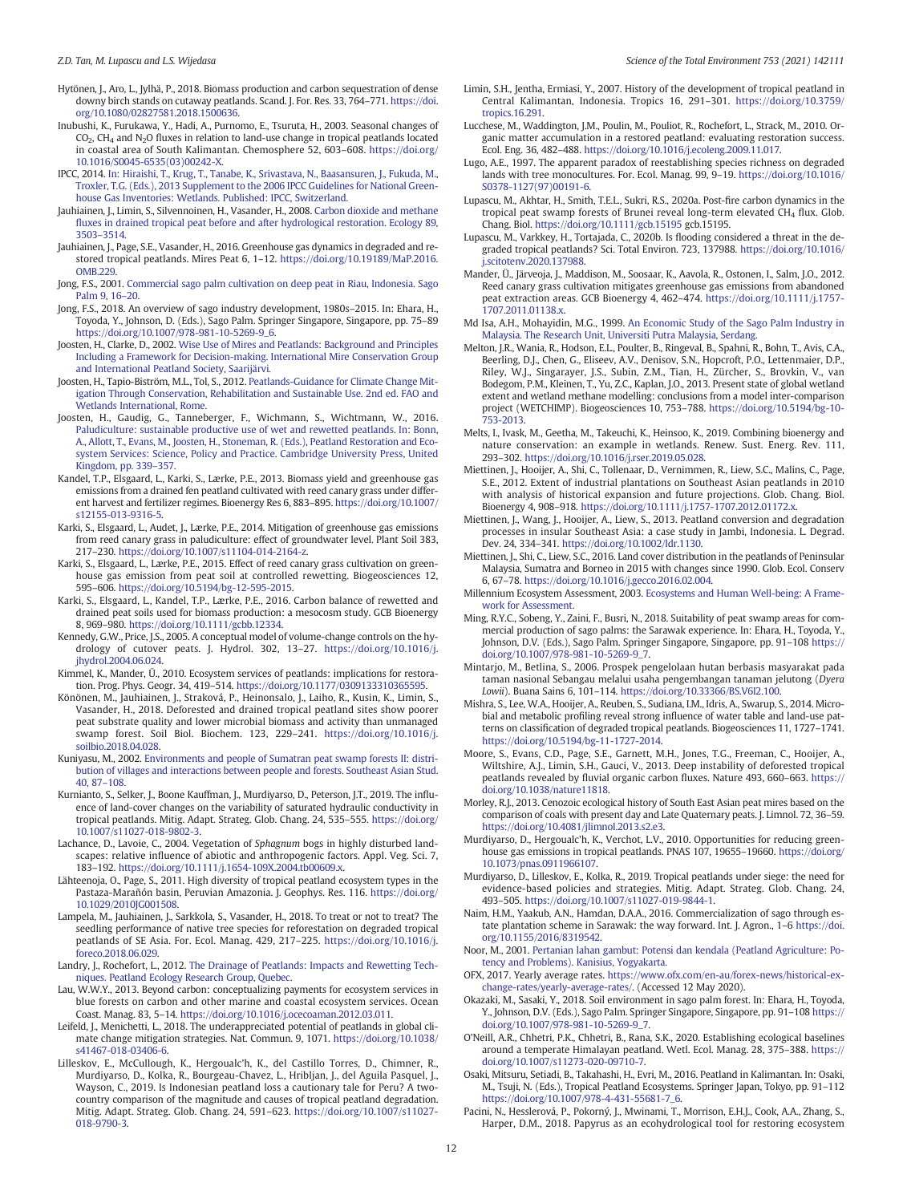- <span id="page-11-0"></span>Hytönen, J., Aro, L., Jylhä, P., 2018. Biomass production and carbon sequestration of dense downy birch stands on cutaway peatlands. Scand. J. For. Res. 33, 764–771. [https://doi.](https://doi.org/10.1080/02827581.2018.1500636) [org/10.1080/02827581.2018.1500636.](https://doi.org/10.1080/02827581.2018.1500636)
- Inubushi, K., Furukawa, Y., Hadi, A., Purnomo, E., Tsuruta, H., 2003. Seasonal changes of  $CO<sub>2</sub>$ , CH<sub>4</sub> and N<sub>2</sub>O fluxes in relation to land-use change in tropical peatlands located in coastal area of South Kalimantan. Chemosphere 52, 603–608. [https://doi.org/](https://doi.org/10.1016/S0045-6535(03)00242-X) [10.1016/S0045-6535\(03\)00242-X](https://doi.org/10.1016/S0045-6535(03)00242-X).
- IPCC, 2014. [In: Hiraishi, T., Krug, T., Tanabe, K., Srivastava, N., Baasansuren, J., Fukuda, M.,](http://refhub.elsevier.com/S0048-9697(20)35640-0/rf0320) [Troxler, T.G. \(Eds.\), 2013 Supplement to the 2006 IPCC Guidelines for National Green](http://refhub.elsevier.com/S0048-9697(20)35640-0/rf0320)[house Gas Inventories: Wetlands. Published: IPCC, Switzerland](http://refhub.elsevier.com/S0048-9697(20)35640-0/rf0320).
- Jauhiainen, J., Limin, S., Silvennoinen, H., Vasander, H., 2008. [Carbon dioxide and methane](http://refhub.elsevier.com/S0048-9697(20)35640-0/rf0325) fl[uxes in drained tropical peat before and after hydrological restoration. Ecology 89,](http://refhub.elsevier.com/S0048-9697(20)35640-0/rf0325) [3503](http://refhub.elsevier.com/S0048-9697(20)35640-0/rf0325)–3514.
- Jauhiainen, J., Page, S.E., Vasander, H., 2016. Greenhouse gas dynamics in degraded and restored tropical peatlands. Mires Peat 6, 1–12. [https://doi.org/10.19189/MaP.2016.](https://doi.org/10.19189/MaP.2016.OMB.229) [OMB.229](https://doi.org/10.19189/MaP.2016.OMB.229).
- Jong, F.S., 2001. [Commercial sago palm cultivation on deep peat in Riau, Indonesia. Sago](http://refhub.elsevier.com/S0048-9697(20)35640-0/rf0335) [Palm 9, 16](http://refhub.elsevier.com/S0048-9697(20)35640-0/rf0335)–20.
- Jong, F.S., 2018. An overview of sago industry development, 1980s–2015. In: Ehara, H., Toyoda, Y., Johnson, D. (Eds.), Sago Palm. Springer Singapore, Singapore, pp. 75–89 [https://doi.org/10.1007/978-981-10-5269-9\\_6.](https://doi.org/10.1007/978-981-10-5269-9_6)
- Joosten, H., Clarke, D., 2002. [Wise Use of Mires and Peatlands: Background and Principles](http://refhub.elsevier.com/S0048-9697(20)35640-0/rf0345) [Including a Framework for Decision-making. International Mire Conservation Group](http://refhub.elsevier.com/S0048-9697(20)35640-0/rf0345) [and International Peatland Society, Saarijärvi](http://refhub.elsevier.com/S0048-9697(20)35640-0/rf0345).
- Joosten, H., Tapio-Biström, M.L., Tol, S., 2012. [Peatlands-Guidance for Climate Change Mit](http://refhub.elsevier.com/S0048-9697(20)35640-0/rf0350)[igation Through Conservation, Rehabilitation and Sustainable Use. 2nd ed. FAO and](http://refhub.elsevier.com/S0048-9697(20)35640-0/rf0350) [Wetlands International, Rome](http://refhub.elsevier.com/S0048-9697(20)35640-0/rf0350).
- Joosten, H., Gaudig, G., Tanneberger, F., Wichmann, S., Wichtmann, W., 2016. [Paludiculture: sustainable productive use of wet and rewetted peatlands. In: Bonn,](http://refhub.elsevier.com/S0048-9697(20)35640-0/rf0355) [A., Allott, T., Evans, M., Joosten, H., Stoneman, R. \(Eds.\), Peatland Restoration and Eco](http://refhub.elsevier.com/S0048-9697(20)35640-0/rf0355)[system Services: Science, Policy and Practice. Cambridge University Press, United](http://refhub.elsevier.com/S0048-9697(20)35640-0/rf0355) [Kingdom, pp. 339](http://refhub.elsevier.com/S0048-9697(20)35640-0/rf0355)–357.
- Kandel, T.P., Elsgaard, L., Karki, S., Lærke, P.E., 2013. Biomass yield and greenhouse gas emissions from a drained fen peatland cultivated with reed canary grass under different harvest and fertilizer regimes. Bioenergy Res 6, 883–895. [https://doi.org/10.1007/](https://doi.org/10.1007/s12155-013-9316-5) [s12155-013-9316-5](https://doi.org/10.1007/s12155-013-9316-5).
- Karki, S., Elsgaard, L., Audet, J., Lærke, P.E., 2014. Mitigation of greenhouse gas emissions from reed canary grass in paludiculture: effect of groundwater level. Plant Soil 383, 217–230. <https://doi.org/10.1007/s11104-014-2164-z>.
- Karki, S., Elsgaard, L., Lærke, P.E., 2015. Effect of reed canary grass cultivation on greenhouse gas emission from peat soil at controlled rewetting. Biogeosciences 12, 595–606. [https://doi.org/10.5194/bg-12-595-2015.](https://doi.org/10.5194/bg-12-595-2015)
- Karki, S., Elsgaard, L., Kandel, T.P., Lærke, P.E., 2016. Carbon balance of rewetted and drained peat soils used for biomass production: a mesocosm study. GCB Bioenergy 8, 969–980. <https://doi.org/10.1111/gcbb.12334>.
- Kennedy, G.W., Price, J.S., 2005. A conceptual model of volume-change controls on the hydrology of cutover peats. J. Hydrol. 302, 13–27. [https://doi.org/10.1016/j.](https://doi.org/10.1016/j.jhydrol.2004.06.024) [jhydrol.2004.06.024.](https://doi.org/10.1016/j.jhydrol.2004.06.024)
- Kimmel, K., Mander, Ü., 2010. Ecosystem services of peatlands: implications for restoration. Prog. Phys. Geogr. 34, 419–514. [https://doi.org/10.1177/0309133310365595.](https://doi.org/10.1177/0309133310365595)
- Könönen, M., Jauhiainen, J., Straková, P., Heinonsalo, J., Laiho, R., Kusin, K., Limin, S., Vasander, H., 2018. Deforested and drained tropical peatland sites show poorer peat substrate quality and lower microbial biomass and activity than unmanaged swamp forest. Soil Biol. Biochem. 123, 229–241. [https://doi.org/10.1016/j.](https://doi.org/10.1016/j.soilbio.2018.04.028) [soilbio.2018.04.028.](https://doi.org/10.1016/j.soilbio.2018.04.028)
- Kuniyasu, M., 2002. [Environments and people of Sumatran peat swamp forests II: distri](http://refhub.elsevier.com/S0048-9697(20)35640-0/rf0395)[bution of villages and interactions between people and forests. Southeast Asian Stud.](http://refhub.elsevier.com/S0048-9697(20)35640-0/rf0395) [40, 87](http://refhub.elsevier.com/S0048-9697(20)35640-0/rf0395)–108.
- Kurnianto, S., Selker, J., Boone Kauffman, J., Murdiyarso, D., Peterson, J.T., 2019. The influence of land-cover changes on the variability of saturated hydraulic conductivity in tropical peatlands. Mitig. Adapt. Strateg. Glob. Chang. 24, 535–555. [https://doi.org/](https://doi.org/10.1007/s11027-018-9802-3) [10.1007/s11027-018-9802-3](https://doi.org/10.1007/s11027-018-9802-3).
- Lachance, D., Lavoie, C., 2004. Vegetation of Sphagnum bogs in highly disturbed landscapes: relative influence of abiotic and anthropogenic factors. Appl. Veg. Sci. 7, 183–192. <https://doi.org/10.1111/j.1654-109X.2004.tb00609.x>.
- Lähteenoja, O., Page, S., 2011. High diversity of tropical peatland ecosystem types in the Pastaza-Marañón basin, Peruvian Amazonia. J. Geophys. Res. 116. [https://doi.org/](https://doi.org/10.1029/2010JG001508) [10.1029/2010JG001508.](https://doi.org/10.1029/2010JG001508)
- Lampela, M., Jauhiainen, J., Sarkkola, S., Vasander, H., 2018. To treat or not to treat? The seedling performance of native tree species for reforestation on degraded tropical peatlands of SE Asia. For. Ecol. Manag. 429, 217–225. [https://doi.org/10.1016/j.](https://doi.org/10.1016/j.foreco.2018.06.029) [foreco.2018.06.029.](https://doi.org/10.1016/j.foreco.2018.06.029)
- Landry, J., Rochefort, L., 2012. [The Drainage of Peatlands: Impacts and Rewetting Tech](http://refhub.elsevier.com/S0048-9697(20)35640-0/rf0420)[niques. Peatland Ecology Research Group, Quebec](http://refhub.elsevier.com/S0048-9697(20)35640-0/rf0420).
- Lau, W.W.Y., 2013. Beyond carbon: conceptualizing payments for ecosystem services in blue forests on carbon and other marine and coastal ecosystem services. Ocean Coast. Manag. 83, 5–14. <https://doi.org/10.1016/j.ocecoaman.2012.03.011>.
- Leifeld, J., Menichetti, L., 2018. The underappreciated potential of peatlands in global climate change mitigation strategies. Nat. Commun. 9, 1071. [https://doi.org/10.1038/](https://doi.org/10.1038/s41467-018-03406-6) [s41467-018-03406-6](https://doi.org/10.1038/s41467-018-03406-6).
- Lilleskov, E., McCullough, K., Hergoualc'h, K., del Castillo Torres, D., Chimner, R., Murdiyarso, D., Kolka, R., Bourgeau-Chavez, L., Hribljan, J., del Aguila Pasquel, J., Wayson, C., 2019. Is Indonesian peatland loss a cautionary tale for Peru? A twocountry comparison of the magnitude and causes of tropical peatland degradation. Mitig. Adapt. Strateg. Glob. Chang. 24, 591–623. [https://doi.org/10.1007/s11027-](https://doi.org/10.1007/s11027-018-9790-3) [018-9790-3.](https://doi.org/10.1007/s11027-018-9790-3)
- Limin, S.H., Jentha, Ermiasi, Y., 2007. History of the development of tropical peatland in Central Kalimantan, Indonesia. Tropics 16, 291–301. [https://doi.org/10.3759/](https://doi.org/10.3759/tropics.16.291) [tropics.16.291.](https://doi.org/10.3759/tropics.16.291)
- Lucchese, M., Waddington, J.M., Poulin, M., Pouliot, R., Rochefort, L., Strack, M., 2010. Organic matter accumulation in a restored peatland: evaluating restoration success. Ecol. Eng. 36, 482–488. <https://doi.org/10.1016/j.ecoleng.2009.11.017>.
- Lugo, A.E., 1997. The apparent paradox of reestablishing species richness on degraded lands with tree monocultures. For. Ecol. Manag. 99, 9–19. [https://doi.org/10.1016/](https://doi.org/10.1016/S0378-1127(97)00191-6) [S0378-1127\(97\)00191-6.](https://doi.org/10.1016/S0378-1127(97)00191-6)
- Lupascu, M., Akhtar, H., Smith, T.E.L., Sukri, R.S., 2020a. Post-fire carbon dynamics in the tropical peat swamp forests of Brunei reveal long-term elevated CH4 flux. Glob. Chang. Biol. <https://doi.org/10.1111/gcb.15195> gcb.15195.
- Lupascu, M., Varkkey, H., Tortajada, C., 2020b. Is flooding considered a threat in the degraded tropical peatlands? Sci. Total Environ. 723, 137988. [https://doi.org/10.1016/](https://doi.org/10.1016/j.scitotenv.2020.137988) [j.scitotenv.2020.137988](https://doi.org/10.1016/j.scitotenv.2020.137988).
- Mander, Ü., Järveoja, J., Maddison, M., Soosaar, K., Aavola, R., Ostonen, J., Salm, J.O., 2012. Reed canary grass cultivation mitigates greenhouse gas emissions from abandoned peat extraction areas. GCB Bioenergy 4, 462–474. [https://doi.org/10.1111/j.1757-](https://doi.org/10.1111/j.1757-1707.2011.01138.x) [1707.2011.01138.x.](https://doi.org/10.1111/j.1757-1707.2011.01138.x)
- Md Isa, A.H., Mohayidin, M.G., 1999. [An Economic Study of the Sago Palm Industry in](http://refhub.elsevier.com/S0048-9697(20)35640-0/rf0470) [Malaysia. The Research Unit, Universiti Putra Malaysia, Serdang](http://refhub.elsevier.com/S0048-9697(20)35640-0/rf0470).
- Melton, J.R., Wania, R., Hodson, E.L., Poulter, B., Ringeval, B., Spahni, R., Bohn, T., Avis, C.A., Beerling, D.J., Chen, G., Eliseev, A.V., Denisov, S.N., Hopcroft, P.O., Lettenmaier, D.P., Riley, W.J., Singarayer, J.S., Subin, Z.M., Tian, H., Zürcher, S., Brovkin, V., van Bodegom, P.M., Kleinen, T., Yu, Z.C., Kaplan, J.O., 2013. Present state of global wetland extent and wetland methane modelling: conclusions from a model inter-comparison project (WETCHIMP). Biogeosciences 10, 753–788. [https://doi.org/10.5194/bg-10-](https://doi.org/10.5194/bg-10-753-2013) [753-2013](https://doi.org/10.5194/bg-10-753-2013).
- Melts, I., Ivask, M., Geetha, M., Takeuchi, K., Heinsoo, K., 2019. Combining bioenergy and nature conservation: an example in wetlands. Renew. Sust. Energ. Rev. 111, 293–302. <https://doi.org/10.1016/j.rser.2019.05.028>.
- Miettinen, J., Hooijer, A., Shi, C., Tollenaar, D., Vernimmen, R., Liew, S.C., Malins, C., Page, S.E., 2012. Extent of industrial plantations on Southeast Asian peatlands in 2010 with analysis of historical expansion and future projections. Glob. Chang. Biol. Bioenergy 4, 908–918. [https://doi.org/10.1111/j.1757-1707.2012.01172.x.](https://doi.org/10.1111/j.1757-1707.2012.01172.x)
- Miettinen, J., Wang, J., Hooijer, A., Liew, S., 2013. Peatland conversion and degradation processes in insular Southeast Asia: a case study in Jambi, Indonesia. L. Degrad. Dev. 24, 334–341. <https://doi.org/10.1002/ldr.1130>.
- Miettinen, J., Shi, C., Liew, S.C., 2016. Land cover distribution in the peatlands of Peninsular Malaysia, Sumatra and Borneo in 2015 with changes since 1990. Glob. Ecol. Conserv 6, 67–78. <https://doi.org/10.1016/j.gecco.2016.02.004>.

Millennium Ecosystem Assessment, 2003. [Ecosystems and Human Well-being: A Frame](http://refhub.elsevier.com/S0048-9697(20)35640-0/rf0500)[work for Assessment.](http://refhub.elsevier.com/S0048-9697(20)35640-0/rf0500)

- Ming, R.Y.C., Sobeng, Y., Zaini, F., Busri, N., 2018. Suitability of peat swamp areas for commercial production of sago palms: the Sarawak experience. In: Ehara, H., Toyoda, Y., Johnson, D.V. (Eds.), Sago Palm. Springer Singapore, Singapore, pp. 91–108 [https://](https://doi.org/10.1007/978-981-10-5269-9_7) [doi.org/10.1007/978-981-10-5269-9\\_7.](https://doi.org/10.1007/978-981-10-5269-9_7)
- Mintarjo, M., Betlina, S., 2006. Prospek pengelolaan hutan berbasis masyarakat pada taman nasional Sebangau melalui usaha pengembangan tanaman jelutong (Dyera Lowii). Buana Sains 6, 101–114. <https://doi.org/10.33366/BS.V6I2.100>.
- Mishra, S., Lee, W.A., Hooijer, A., Reuben, S., Sudiana, I.M., Idris, A., Swarup, S., 2014. Microbial and metabolic profiling reveal strong influence of water table and land-use patterns on classification of degraded tropical peatlands. Biogeosciences 11, 1727–1741. [https://doi.org/10.5194/bg-11-1727-2014.](https://doi.org/10.5194/bg-11-1727-2014)
- Moore, S., Evans, C.D., Page, S.E., Garnett, M.H., Jones, T.G., Freeman, C., Hooijer, A., Wiltshire, A.J., Limin, S.H., Gauci, V., 2013. Deep instability of deforested tropical peatlands revealed by fluvial organic carbon fluxes. Nature 493, 660–663. [https://](https://doi.org/10.1038/nature11818) [doi.org/10.1038/nature11818](https://doi.org/10.1038/nature11818).
- Morley, R.J., 2013. Cenozoic ecological history of South East Asian peat mires based on the comparison of coals with present day and Late Quaternary peats. J. Limnol. 72, 36–59. <https://doi.org/10.4081/jlimnol.2013.s2.e3>.
- Murdiyarso, D., Hergoualc'h, K., Verchot, L.V., 2010. Opportunities for reducing greenhouse gas emissions in tropical peatlands. PNAS 107, 19655–19660. [https://doi.org/](https://doi.org/10.1073/pnas.0911966107) [10.1073/pnas.0911966107](https://doi.org/10.1073/pnas.0911966107).
- Murdiyarso, D., Lilleskov, E., Kolka, R., 2019. Tropical peatlands under siege: the need for evidence-based policies and strategies. Mitig. Adapt. Strateg. Glob. Chang. 24, 493–505. [https://doi.org/10.1007/s11027-019-9844-1.](https://doi.org/10.1007/s11027-019-9844-1)
- Naim, H.M., Yaakub, A.N., Hamdan, D.A.A., 2016. Commercialization of sago through estate plantation scheme in Sarawak: the way forward. Int. J. Agron., 1–6 [https://doi.](https://doi.org/10.1155/2016/8319542) [org/10.1155/2016/8319542.](https://doi.org/10.1155/2016/8319542)
- Noor, M., 2001. [Pertanian lahan gambut: Potensi dan kendala \(Peatland Agriculture: Po](http://refhub.elsevier.com/S0048-9697(20)35640-0/rf0545)[tency and Problems\). Kanisius, Yogyakarta.](http://refhub.elsevier.com/S0048-9697(20)35640-0/rf0545)
- OFX, 2017. Yearly average rates. [https://www.ofx.com/en-au/forex-news/historical-ex](https://www.ofx.com/en-au/forex-news/historical-exchange-rates/yearly-average-rates/)[change-rates/yearly-average-rates/](https://www.ofx.com/en-au/forex-news/historical-exchange-rates/yearly-average-rates/). (Accessed 12 May 2020).
- Okazaki, M., Sasaki, Y., 2018. Soil environment in sago palm forest. In: Ehara, H., Toyoda, Y., Johnson, D.V. (Eds.), Sago Palm. Springer Singapore, Singapore, pp. 91–108 [https://](https://doi.org/10.1007/978-981-10-5269-9_7) [doi.org/10.1007/978-981-10-5269-9\\_7.](https://doi.org/10.1007/978-981-10-5269-9_7)
- O'Neill, A.R., Chhetri, P.K., Chhetri, B., Rana, S.K., 2020. Establishing ecological baselines around a temperate Himalayan peatland. Wetl. Ecol. Manag. 28, 375–388. [https://](https://doi.org/10.1007/s11273-020-09710-7) [doi.org/10.1007/s11273-020-09710-7.](https://doi.org/10.1007/s11273-020-09710-7)
- Osaki, Mitsuru, Setiadi, B., Takahashi, H., Evri, M., 2016. Peatland in Kalimantan. In: Osaki, M., Tsuji, N. (Eds.), Tropical Peatland Ecosystems. Springer Japan, Tokyo, pp. 91–112 [https://doi.org/10.1007/978-4-431-55681-7\\_6.](https://doi.org/10.1007/978-4-431-55681-7_6)
- Pacini, N., Hesslerová, P., Pokorný, J., Mwinami, T., Morrison, E.H.J., Cook, A.A., Zhang, S., Harper, D.M., 2018. Papyrus as an ecohydrological tool for restoring ecosystem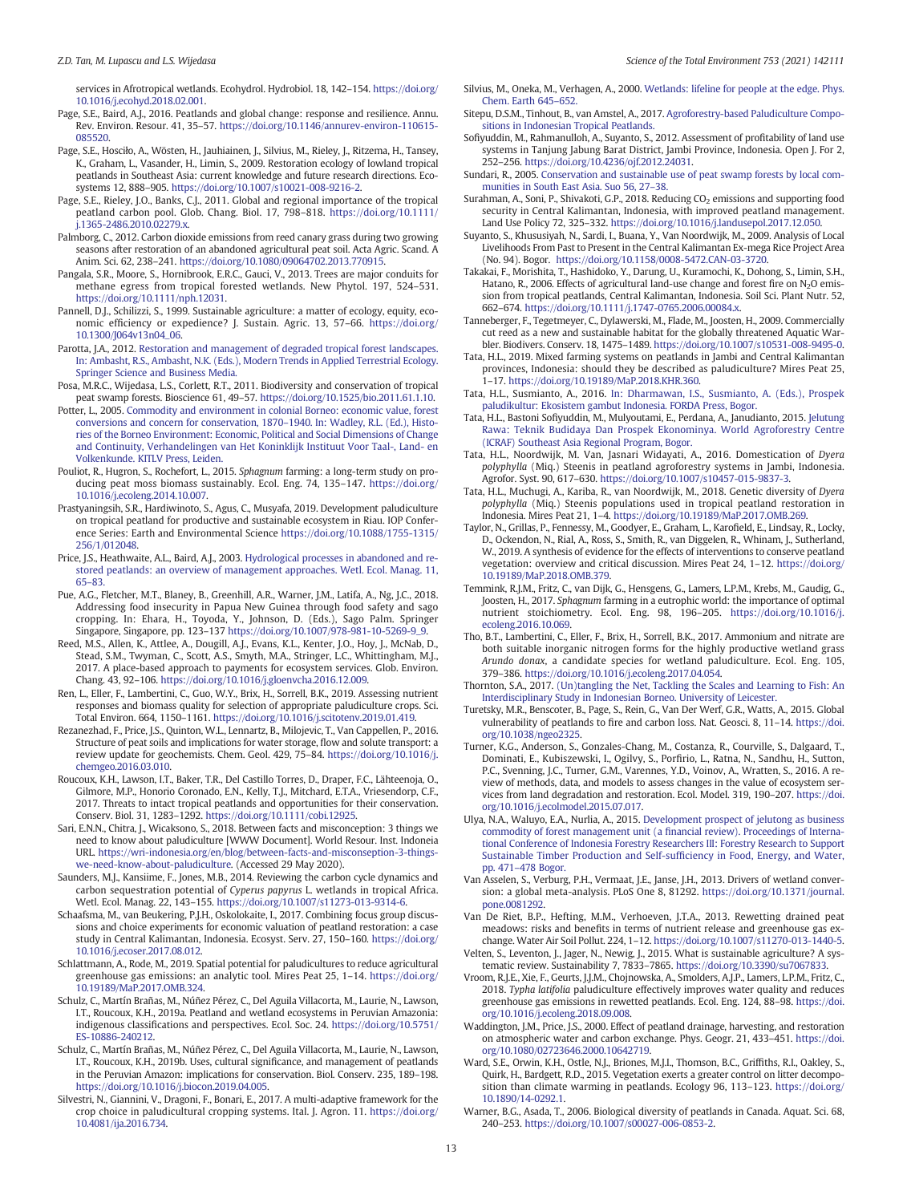<span id="page-12-0"></span>services in Afrotropical wetlands. Ecohydrol. Hydrobiol. 18, 142–154. [https://doi.org/](https://doi.org/10.1016/j.ecohyd.2018.02.001) [10.1016/j.ecohyd.2018.02.001.](https://doi.org/10.1016/j.ecohyd.2018.02.001)

- Page, S.E., Baird, A.J., 2016. Peatlands and global change: response and resilience. Annu. Rev. Environ. Resour. 41, 35–57. [https://doi.org/10.1146/annurev-environ-110615-](https://doi.org/10.1146/annurev-environ-110615-085520) [085520](https://doi.org/10.1146/annurev-environ-110615-085520).
- Page, S.E., Hosciło, A., Wösten, H., Jauhiainen, J., Silvius, M., Rieley, J., Ritzema, H., Tansey, K., Graham, L., Vasander, H., Limin, S., 2009. Restoration ecology of lowland tropical peatlands in Southeast Asia: current knowledge and future research directions. Ecosystems 12, 888–905. <https://doi.org/10.1007/s10021-008-9216-2>.
- Page, S.E., Rieley, J.O., Banks, C.J., 2011. Global and regional importance of the tropical peatland carbon pool. Glob. Chang. Biol. 17, 798–818. [https://doi.org/10.1111/](https://doi.org/10.1111/j.1365-2486.2010.02279.x) [j.1365-2486.2010.02279.x.](https://doi.org/10.1111/j.1365-2486.2010.02279.x)
- Palmborg, C., 2012. Carbon dioxide emissions from reed canary grass during two growing seasons after restoration of an abandoned agricultural peat soil. Acta Agric. Scand. A Anim. Sci. 62, 238–241. <https://doi.org/10.1080/09064702.2013.770915>.
- Pangala, S.R., Moore, S., Hornibrook, E.R.C., Gauci, V., 2013. Trees are major conduits for methane egress from tropical forested wetlands. New Phytol. 197, 524–531. <https://doi.org/10.1111/nph.12031>.
- Pannell, D.J., Schilizzi, S., 1999. Sustainable agriculture: a matter of ecology, equity, economic efficiency or expedience? J. Sustain. Agric. 13, 57–66. [https://doi.org/](https://doi.org/10.1300/J064v13n04_06) [10.1300/J064v13n04\\_06](https://doi.org/10.1300/J064v13n04_06).
- Parotta, J.A., 2012. [Restoration and management of degraded tropical forest landscapes.](http://refhub.elsevier.com/S0048-9697(20)35640-0/rf0605) [In: Ambasht, R.S., Ambasht, N.K. \(Eds.\), Modern Trends in Applied Terrestrial Ecology.](http://refhub.elsevier.com/S0048-9697(20)35640-0/rf0605) [Springer Science and Business Media](http://refhub.elsevier.com/S0048-9697(20)35640-0/rf0605).
- Posa, M.R.C., Wijedasa, L.S., Corlett, R.T., 2011. Biodiversity and conservation of tropical peat swamp forests. Bioscience 61, 49–57. [https://doi.org/10.1525/bio.2011.61.1.10.](https://doi.org/10.1525/bio.2011.61.1.10)
- Potter, L., 2005. [Commodity and environment in colonial Borneo: economic value, forest](http://refhub.elsevier.com/S0048-9697(20)35640-0/rf0615) [conversions and concern for conservation, 1870](http://refhub.elsevier.com/S0048-9697(20)35640-0/rf0615)–1940. In: Wadley, R.L. (Ed.), Histo[ries of the Borneo Environment: Economic, Political and Social Dimensions of Change](http://refhub.elsevier.com/S0048-9697(20)35640-0/rf0615) [and Continuity, Verhandelingen van Het Koninklijk Instituut Voor Taal-, Land- en](http://refhub.elsevier.com/S0048-9697(20)35640-0/rf0615) [Volkenkunde. KITLV Press, Leiden.](http://refhub.elsevier.com/S0048-9697(20)35640-0/rf0615)
- Pouliot, R., Hugron, S., Rochefort, L., 2015. Sphagnum farming: a long-term study on producing peat moss biomass sustainably. Ecol. Eng. 74, 135–147. [https://doi.org/](https://doi.org/10.1016/j.ecoleng.2014.10.007) [10.1016/j.ecoleng.2014.10.007](https://doi.org/10.1016/j.ecoleng.2014.10.007).
- Prastyaningsih, S.R., Hardiwinoto, S., Agus, C., Musyafa, 2019. Development paludiculture on tropical peatland for productive and sustainable ecosystem in Riau. IOP Conference Series: Earth and Environmental Science [https://doi.org/10.1088/1755-1315/](https://doi.org/10.1088/1755-1315/256/1/012048) [256/1/012048](https://doi.org/10.1088/1755-1315/256/1/012048).
- Price, J.S., Heathwaite, A.L., Baird, A.J., 2003. [Hydrological processes in abandoned and re](http://refhub.elsevier.com/S0048-9697(20)35640-0/rf0630)[stored peatlands: an overview of management approaches. Wetl. Ecol. Manag. 11,](http://refhub.elsevier.com/S0048-9697(20)35640-0/rf0630) [65](http://refhub.elsevier.com/S0048-9697(20)35640-0/rf0630)–83.
- Pue, A.G., Fletcher, M.T., Blaney, B., Greenhill, A.R., Warner, J.M., Latifa, A., Ng, J.C., 2018. Addressing food insecurity in Papua New Guinea through food safety and sago cropping. In: Ehara, H., Toyoda, Y., Johnson, D. (Eds.), Sago Palm. Springer Singapore, Singapore, pp. 123–137 [https://doi.org/10.1007/978-981-10-5269-9\\_9](https://doi.org/10.1007/978-981-10-5269-9_9).
- Reed, M.S., Allen, K., Attlee, A., Dougill, A.J., Evans, K.L., Kenter, J.O., Hoy, J., McNab, D., Stead, S.M., Twyman, C., Scott, A.S., Smyth, M.A., Stringer, L.C., Whittingham, M.J., 2017. A place-based approach to payments for ecosystem services. Glob. Environ. Chang. 43, 92–106. <https://doi.org/10.1016/j.gloenvcha.2016.12.009>.
- Ren, L., Eller, F., Lambertini, C., Guo, W.Y., Brix, H., Sorrell, B.K., 2019. Assessing nutrient responses and biomass quality for selection of appropriate paludiculture crops. Sci. Total Environ. 664, 1150–1161. <https://doi.org/10.1016/j.scitotenv.2019.01.419>.
- Rezanezhad, F., Price, J.S., Quinton, W.L., Lennartz, B., Milojevic, T., Van Cappellen, P., 2016. Structure of peat soils and implications for water storage, flow and solute transport: a review update for geochemists. Chem. Geol. 429, 75–84. [https://doi.org/10.1016/j.](https://doi.org/10.1016/j.chemgeo.2016.03.010) [chemgeo.2016.03.010.](https://doi.org/10.1016/j.chemgeo.2016.03.010)
- Roucoux, K.H., Lawson, I.T., Baker, T.R., Del Castillo Torres, D., Draper, F.C., Lähteenoja, O., Gilmore, M.P., Honorio Coronado, E.N., Kelly, T.J., Mitchard, E.T.A., Vriesendorp, C.F., 2017. Threats to intact tropical peatlands and opportunities for their conservation. Conserv. Biol. 31, 1283–1292. <https://doi.org/10.1111/cobi.12925>.
- Sari, E.N.N., Chitra, J., Wicaksono, S., 2018. Between facts and misconception: 3 things we need to know about paludiculture [WWW Document]. World Resour. Inst. Indoneia URL. [https://wri-indonesia.org/en/blog/between-facts-and-misconseption-3-things](https://wri-indonesia.org/en/blog/between-facts-and-misconseption-3-things-we-need-know-about-paludiculture)[we-need-know-about-paludiculture](https://wri-indonesia.org/en/blog/between-facts-and-misconseption-3-things-we-need-know-about-paludiculture). (Accessed 29 May 2020).
- Saunders, M.J., Kansiime, F., Jones, M.B., 2014. Reviewing the carbon cycle dynamics and carbon sequestration potential of Cyperus papyrus L. wetlands in tropical Africa. Wetl. Ecol. Manag. 22, 143–155. <https://doi.org/10.1007/s11273-013-9314-6>.
- Schaafsma, M., van Beukering, P.J.H., Oskolokaite, I., 2017. Combining focus group discussions and choice experiments for economic valuation of peatland restoration: a case study in Central Kalimantan, Indonesia. Ecosyst. Serv. 27, 150–160. [https://doi.org/](https://doi.org/10.1016/j.ecoser.2017.08.012) [10.1016/j.ecoser.2017.08.012](https://doi.org/10.1016/j.ecoser.2017.08.012).
- Schlattmann, A., Rode, M., 2019. Spatial potential for paludicultures to reduce agricultural greenhouse gas emissions: an analytic tool. Mires Peat 25, 1–14. [https://doi.org/](https://doi.org/10.19189/MaP.2017.OMB.324) [10.19189/MaP.2017.OMB.324.](https://doi.org/10.19189/MaP.2017.OMB.324)
- Schulz, C., Martín Brañas, M., Núñez Pérez, C., Del Aguila Villacorta, M., Laurie, N., Lawson, I.T., Roucoux, K.H., 2019a. Peatland and wetland ecosystems in Peruvian Amazonia: indigenous classifications and perspectives. Ecol. Soc. 24. [https://doi.org/10.5751/](https://doi.org/10.5751/ES-10886-240212) [ES-10886-240212.](https://doi.org/10.5751/ES-10886-240212)
- Schulz, C., Martín Brañas, M., Núñez Pérez, C., Del Aguila Villacorta, M., Laurie, N., Lawson, I.T., Roucoux, K.H., 2019b. Uses, cultural significance, and management of peatlands in the Peruvian Amazon: implications for conservation. Biol. Conserv. 235, 189–198. <https://doi.org/10.1016/j.biocon.2019.04.005>.
- Silvestri, N., Giannini, V., Dragoni, F., Bonari, E., 2017. A multi-adaptive framework for the crop choice in paludicultural cropping systems. Ital. J. Agron. 11. [https://doi.org/](https://doi.org/10.4081/ija.2016.734) [10.4081/ija.2016.734](https://doi.org/10.4081/ija.2016.734).
- Silvius, M., Oneka, M., Verhagen, A., 2000. [Wetlands: lifeline for people at the edge. Phys.](http://refhub.elsevier.com/S0048-9697(20)35640-0/rf0695) [Chem. Earth 645](http://refhub.elsevier.com/S0048-9697(20)35640-0/rf0695)–652.
- Sitepu, D.S.M., Tinhout, B., van Amstel, A., 2017. [Agroforestry-based Paludiculture Compo](http://refhub.elsevier.com/S0048-9697(20)35640-0/rf0700)[sitions in Indonesian Tropical Peatlands.](http://refhub.elsevier.com/S0048-9697(20)35640-0/rf0700)
- Sofiyuddin, M., Rahmanulloh, A., Suyanto, S., 2012. Assessment of profitability of land use systems in Tanjung Jabung Barat District, Jambi Province, Indonesia. Open J. For 2, 252–256. <https://doi.org/10.4236/ojf.2012.24031>.
- Sundari, R., 2005. [Conservation and sustainable use of peat swamp forests by local com](http://refhub.elsevier.com/S0048-9697(20)35640-0/rf5000)[munities in South East Asia. Suo 56, 27](http://refhub.elsevier.com/S0048-9697(20)35640-0/rf5000)–38.
- Surahman, A., Soni, P., Shivakoti, G.P., 2018. Reducing CO<sub>2</sub> emissions and supporting food security in Central Kalimantan, Indonesia, with improved peatland management. Land Use Policy 72, 325–332. <https://doi.org/10.1016/j.landusepol.2017.12.050>.
- Suyanto, S., Khususiyah, N., Sardi, I., Buana, Y., Van Noordwijk, M., 2009. Analysis of Local Livelihoods From Past to Present in the Central Kalimantan Ex-mega Rice Project Area (No. 94). Bogor. [https://doi.org/10.1158/0008-5472.CAN-03-3720.](https://doi.org/10.1158/0008-5472.CAN-03-3720)
- Takakai, F., Morishita, T., Hashidoko, Y., Darung, U., Kuramochi, K., Dohong, S., Limin, S.H., Hatano, R., 2006. Effects of agricultural land-use change and forest fire on  $N_2O$  emission from tropical peatlands, Central Kalimantan, Indonesia. Soil Sci. Plant Nutr. 52, 662–674. [https://doi.org/10.1111/j.1747-0765.2006.00084.x.](https://doi.org/10.1111/j.1747-0765.2006.00084.x)
- Tanneberger, F., Tegetmeyer, C., Dylawerski, M., Flade, M., Joosten, H., 2009. Commercially cut reed as a new and sustainable habitat for the globally threatened Aquatic Warbler. Biodivers. Conserv. 18, 1475–1489. [https://doi.org/10.1007/s10531-008-9495-0.](https://doi.org/10.1007/s10531-008-9495-0)
- Tata, H.L., 2019. Mixed farming systems on peatlands in Jambi and Central Kalimantan provinces, Indonesia: should they be described as paludiculture? Mires Peat 25, 1–17. [https://doi.org/10.19189/MaP.2018.KHR.360.](https://doi.org/10.19189/MaP.2018.KHR.360)
- Tata, H.L., Susmianto, A., 2016. [In: Dharmawan, I.S., Susmianto, A. \(Eds.\), Prospek](http://refhub.elsevier.com/S0048-9697(20)35640-0/rf0735) [paludikultur: Ekosistem gambut Indonesia. FORDA Press, Bogor](http://refhub.elsevier.com/S0048-9697(20)35640-0/rf0735).
- Tata, H.L., Bastoni Sofiyuddin, M., Mulyoutami, E., Perdana, A., Janudianto, 2015. [Jelutung](http://refhub.elsevier.com/S0048-9697(20)35640-0/rf0740) [Rawa: Teknik Budidaya Dan Prospek Ekonominya. World Agroforestry Centre](http://refhub.elsevier.com/S0048-9697(20)35640-0/rf0740) [\(ICRAF\) Southeast Asia Regional Program, Bogor](http://refhub.elsevier.com/S0048-9697(20)35640-0/rf0740).
- Tata, H.L., Noordwijk, M. Van, Jasnari Widayati, A., 2016. Domestication of Dyera polyphylla (Miq.) Steenis in peatland agroforestry systems in Jambi, Indonesia. Agrofor. Syst. 90, 617–630. <https://doi.org/10.1007/s10457-015-9837-3>.
- Tata, H.L., Muchugi, A., Kariba, R., van Noordwijk, M., 2018. Genetic diversity of Dyera polyphylla (Miq.) Steenis populations used in tropical peatland restoration in Indonesia. Mires Peat 21, 1–4. [https://doi.org/10.19189/MaP.2017.OMB.269.](https://doi.org/10.19189/MaP.2017.OMB.269)
- Taylor, N., Grillas, P., Fennessy, M., Goodyer, E., Graham, L., Karofield, E., Lindsay, R., Locky, D., Ockendon, N., Rial, A., Ross, S., Smith, R., van Diggelen, R., Whinam, J., Sutherland, W., 2019. A synthesis of evidence for the effects of interventions to conserve peatland vegetation: overview and critical discussion. Mires Peat 24, 1–12. [https://doi.org/](https://doi.org/10.19189/MaP.2018.OMB.379) [10.19189/MaP.2018.OMB.379.](https://doi.org/10.19189/MaP.2018.OMB.379)
- Temmink, R.J.M., Fritz, C., van Dijk, G., Hensgens, G., Lamers, L.P.M., Krebs, M., Gaudig, G., Joosten, H., 2017. Sphagnum farming in a eutrophic world: the importance of optimal nutrient stoichiometry. Ecol. Eng. 98, 196–205. [https://doi.org/10.1016/j.](https://doi.org/10.1016/j.ecoleng.2016.10.069) [ecoleng.2016.10.069.](https://doi.org/10.1016/j.ecoleng.2016.10.069)
- Tho, B.T., Lambertini, C., Eller, F., Brix, H., Sorrell, B.K., 2017. Ammonium and nitrate are both suitable inorganic nitrogen forms for the highly productive wetland grass Arundo donax, a candidate species for wetland paludiculture. Ecol. Eng. 105, 379–386. <https://doi.org/10.1016/j.ecoleng.2017.04.054>.
- Thornton, S.A., 2017. [\(Un\)tangling the Net, Tackling the Scales and Learning to Fish: An](http://refhub.elsevier.com/S0048-9697(20)35640-0/rf0770) [Interdisciplinary Study in Indonesian Borneo. University of Leicester](http://refhub.elsevier.com/S0048-9697(20)35640-0/rf0770).
- Turetsky, M.R., Benscoter, B., Page, S., Rein, G., Van Der Werf, G.R., Watts, A., 2015. Global vulnerability of peatlands to fire and carbon loss. Nat. Geosci. 8, 11–14. [https://doi.](https://doi.org/10.1038/ngeo2325) [org/10.1038/ngeo2325.](https://doi.org/10.1038/ngeo2325)
- Turner, K.G., Anderson, S., Gonzales-Chang, M., Costanza, R., Courville, S., Dalgaard, T., Dominati, E., Kubiszewski, I., Ogilvy, S., Porfirio, L., Ratna, N., Sandhu, H., Sutton, P.C., Svenning, J.C., Turner, G.M., Varennes, Y.D., Voinov, A., Wratten, S., 2016. A review of methods, data, and models to assess changes in the value of ecosystem services from land degradation and restoration. Ecol. Model. 319, 190–207. [https://doi.](https://doi.org/10.1016/j.ecolmodel.2015.07.017) [org/10.1016/j.ecolmodel.2015.07.017](https://doi.org/10.1016/j.ecolmodel.2015.07.017).
- Ulya, N.A., Waluyo, E.A., Nurlia, A., 2015. [Development prospect of jelutong as business](http://refhub.elsevier.com/S0048-9697(20)35640-0/rf0785) [commodity of forest management unit \(a](http://refhub.elsevier.com/S0048-9697(20)35640-0/rf0785) financial review). Proceedings of Interna[tional Conference of Indonesia Forestry Researchers III: Forestry Research to Support](http://refhub.elsevier.com/S0048-9697(20)35640-0/rf0785) [Sustainable Timber Production and Self-suf](http://refhub.elsevier.com/S0048-9697(20)35640-0/rf0785)ficiency in Food, Energy, and Water, pp. 471–[478 Bogor](http://refhub.elsevier.com/S0048-9697(20)35640-0/rf0785).
- Van Asselen, S., Verburg, P.H., Vermaat, J.E., Janse, J.H., 2013. Drivers of wetland conversion: a global meta-analysis. PLoS One 8, 81292. [https://doi.org/10.1371/journal.](https://doi.org/10.1371/journal.pone.0081292) [pone.0081292](https://doi.org/10.1371/journal.pone.0081292).
- Van De Riet, B.P., Hefting, M.M., Verhoeven, J.T.A., 2013. Rewetting drained peat meadows: risks and benefits in terms of nutrient release and greenhouse gas exchange. Water Air Soil Pollut. 224, 1–12. [https://doi.org/10.1007/s11270-013-1440-5.](https://doi.org/10.1007/s11270-013-1440-5)
- Velten, S., Leventon, J., Jager, N., Newig, J., 2015. What is sustainable agriculture? A systematic review. Sustainability 7, 7833–7865. <https://doi.org/10.3390/su7067833>.
- Vroom, R.J.E., Xie, F., Geurts, J.J.M., Chojnowska, A., Smolders, A.J.P., Lamers, L.P.M., Fritz, C., 2018. Typha latifolia paludiculture effectively improves water quality and reduces greenhouse gas emissions in rewetted peatlands. Ecol. Eng. 124, 88–98. [https://doi.](https://doi.org/10.1016/j.ecoleng.2018.09.008) [org/10.1016/j.ecoleng.2018.09.008.](https://doi.org/10.1016/j.ecoleng.2018.09.008)
- Waddington, J.M., Price, J.S., 2000. Effect of peatland drainage, harvesting, and restoration on atmospheric water and carbon exchange. Phys. Geogr. 21, 433–451. [https://doi.](https://doi.org/10.1080/02723646.2000.10642719) [org/10.1080/02723646.2000.10642719](https://doi.org/10.1080/02723646.2000.10642719).
- Ward, S.E., Orwin, K.H., Ostle, N.J., Briones, M.J.I., Thomson, B.C., Griffiths, R.I., Oakley, S., Quirk, H., Bardgett, R.D., 2015. Vegetation exerts a greater control on litter decomposition than climate warming in peatlands. Ecology 96, 113–123. [https://doi.org/](https://doi.org/10.1890/14-0292.1) [10.1890/14-0292.1.](https://doi.org/10.1890/14-0292.1)
- Warner, B.G., Asada, T., 2006. Biological diversity of peatlands in Canada. Aquat. Sci. 68, 240–253. [https://doi.org/10.1007/s00027-006-0853-2.](https://doi.org/10.1007/s00027-006-0853-2)